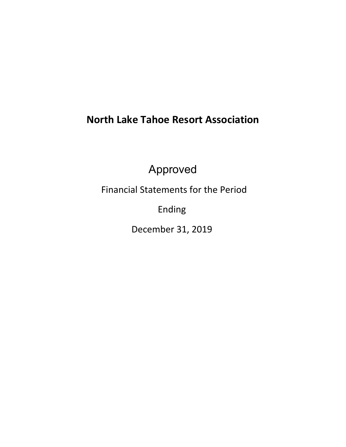# **North Lake Tahoe Resort Association**

Approved

Financial Statements for the Period

Ending

December 31, 2019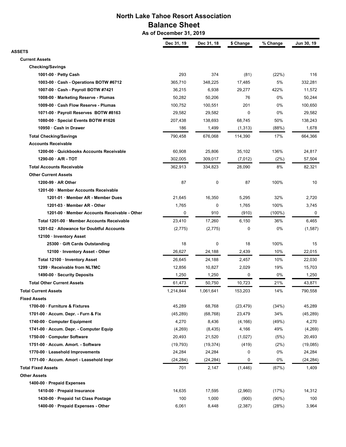# **North Lake Tahoe Resort Association Balance Sheet**

 **As of December 31, 2019**

|                                              | Dec 31, 19 | Dec 31, 18 | \$ Change | % Change  | Jun 30, 19 |
|----------------------------------------------|------------|------------|-----------|-----------|------------|
| ASSETS                                       |            |            |           |           |            |
| <b>Current Assets</b>                        |            |            |           |           |            |
| <b>Checking/Savings</b>                      |            |            |           |           |            |
| 1001-00 $\cdot$ Petty Cash                   | 293        | 374        | (81)      | (22%)     | 116        |
| 1003-00 · Cash - Operations BOTW #6712       | 365,710    | 348,225    | 17,485    | 5%        | 332,281    |
| 1007-00 · Cash - Payroll BOTW #7421          | 36,215     | 6,938      | 29,277    | 422%      | 11,572     |
| 1008-00 · Marketing Reserve - Plumas         | 50,282     | 50,206     | 76        | 0%        | 50,244     |
| 1009-00 · Cash Flow Reserve - Plumas         | 100,752    | 100,551    | 201       | 0%        | 100,650    |
| 1071-00 · Payroll Reserves BOTW #8163        | 29,582     | 29,582     | 0         | 0%        | 29,582     |
| 1080-00 · Special Events BOTW #1626          | 207,438    | 138,693    | 68,745    | 50%       | 138,243    |
| 10950 · Cash in Drawer                       | 186        | 1,499      | (1, 313)  | (88%)     | 1,678      |
| <b>Total Checking/Savings</b>                | 790,458    | 676,068    | 114,390   | 17%       | 664,366    |
| <b>Accounts Receivable</b>                   |            |            |           |           |            |
| 1200-00 · Quickbooks Accounts Receivable     | 60,908     | 25,806     | 35,102    | 136%      | 24,817     |
| $1290-00 \cdot A/R - TOT$                    | 302,005    | 309,017    | (7,012)   | (2%)      | 57,504     |
| <b>Total Accounts Receivable</b>             | 362,913    | 334,823    | 28,090    | 8%        | 82,321     |
| <b>Other Current Assets</b>                  |            |            |           |           |            |
| $1200-99 \cdot AR$ Other                     | 87         | 0          | 87        | 100%      | 10         |
| 1201-00 · Member Accounts Receivable         |            |            |           |           |            |
| 1201-01 · Member AR - Member Dues            | 21,645     | 16,350     | 5,295     | 32%       | 2,720      |
| 1201-03 · Member AR - Other                  | 1,765      | 0          | 1,765     | 100%      | 3,745      |
| 1201-00 · Member Accounts Receivable - Other | 0          | 910        | (910)     | $(100\%)$ | 0          |
| Total 1201-00 · Member Accounts Receivable   | 23,410     | 17,260     | 6,150     | 36%       | 6,465      |
| 1201-02 · Allowance for Doubtful Accounts    | (2,775)    | (2,775)    | 0         | 0%        | (1,587)    |
| 12100 · Inventory Asset                      |            |            |           |           |            |
| 25300 · Gift Cards Outstanding               | 18         | 0          | 18        | 100%      | 15         |
| 12100 · Inventory Asset - Other              | 26,627     | 24,188     | 2,439     | 10%       | 22,015     |
| Total 12100 · Inventory Asset                | 26,645     | 24,188     | 2,457     | 10%       | 22,030     |
| 1299 · Receivable from NLTMC                 | 12,856     | 10,827     | 2,029     | 19%       | 15,703     |
| 1490-00 · Security Deposits                  | 1,250      | 1,250      | 0         | 0%        | 1,250      |
| <b>Total Other Current Assets</b>            |            |            |           |           |            |
|                                              | 61,473     | 50,750     | 10,723    | 21%       | 43,871     |
| <b>Total Current Assets</b>                  | 1,214,844  | 1,061,641  | 153,203   | 14%       | 790,558    |
| Fixed Assets                                 |            |            |           |           |            |
| 1700-00 · Furniture & Fixtures               | 45,289     | 68,768     | (23, 479) | (34%)     | 45,289     |
| 1701-00 · Accum. Depr. - Furn & Fix          | (45, 289)  | (68, 768)  | 23,479    | 34%       | (45, 289)  |
| 1740-00 · Computer Equipment                 | 4,270      | 8,436      | (4, 166)  | (49%)     | 4,270      |
| 1741-00 · Accum. Depr. - Computer Equip      | (4,269)    | (8, 435)   | 4,166     | 49%       | (4,269)    |
| 1750-00 · Computer Software                  | 20,493     | 21,520     | (1,027)   | (5%)      | 20,493     |
| 1751-00 · Accum. Amort. - Software           | (19, 793)  | (19, 374)  | (419)     | (2%)      | (19,085)   |
| 1770-00 · Leasehold Improvements             | 24,284     | 24,284     | 0         | 0%        | 24,284     |
| 1771-00 · Accum. Amort - Leasehold Impr      | (24, 284)  | (24, 284)  | 0         | 0%        | (24, 284)  |
| <b>Total Fixed Assets</b>                    | 701        | 2,147      | (1, 446)  | (67%)     | 1,409      |
| <b>Other Assets</b>                          |            |            |           |           |            |
| 1400-00 · Prepaid Expenses                   |            |            |           |           |            |
| 1410-00 · Prepaid Insurance                  | 14,635     | 17,595     | (2,960)   | (17%)     | 14,312     |
| 1430-00 · Prepaid 1st Class Postage          | 100        | 1,000      | (900)     | $(90\%)$  | 100        |
| 1400-00 · Prepaid Expenses - Other           | 6,061      | 8,448      | (2, 387)  | (28%)     | 3,964      |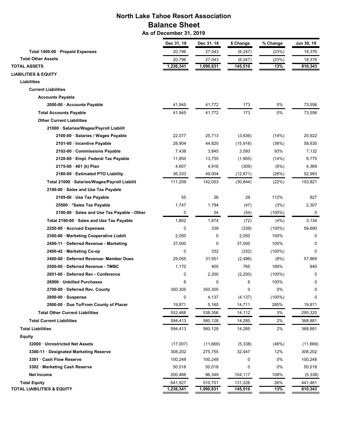# **North Lake Tahoe Resort Association Balance Sheet**

 **As of December 31, 2019**

|                                               | Dec 31, 19 | Dec 31, 18 | \$ Change   | % Change  | Jun 30, 19 |
|-----------------------------------------------|------------|------------|-------------|-----------|------------|
| Total 1400-00 · Prepaid Expenses              | 20,796     | 27,043     | (6, 247)    | (23%)     | 18,376     |
| <b>Total Other Assets</b>                     | 20,796     | 27,043     | (6, 247)    | (23%)     | 18,376     |
| <b>TOTAL ASSETS</b>                           | 1,236,341  | 1,090,831  | 145, 510    | 13%       | 810,343    |
| <b>LIABILITIES &amp; EQUITY</b>               |            |            |             |           |            |
| Liabilities                                   |            |            |             |           |            |
| <b>Current Liabilities</b>                    |            |            |             |           |            |
| <b>Accounts Payable</b>                       |            |            |             |           |            |
| 2000-00 · Accounts Payable                    | 41,945     | 41,772     | 173         | 0%        | 73,556     |
| <b>Total Accounts Payable</b>                 | 41,945     | 41,772     | 173         | 0%        | 73,556     |
| <b>Other Current Liabilities</b>              |            |            |             |           |            |
| 21000 · Salaries/Wages/Payroll Liabilit       |            |            |             |           |            |
| 2100-00 · Salaries / Wages Payable            | 22,077     | 25,713     | (3,636)     | (14%)     | 20,922     |
| 2101-00 · Incentive Payable                   | 28,904     | 44,820     | (15, 916)   | (36%)     | 58,630     |
| 2102-00 · Commissions Payable                 | 7,438      | 3,845      | 3,593       | 93%       | 7,132      |
| 2120-00 · Empl. Federal Tax Payable           | 11,850     | 13,755     | (1,905)     | (14%)     | 9,775      |
| $2175-00 \cdot 401$ (k) Plan                  | 4,607      | 4,916      | (309)       | (6%)      | 4,369      |
| 2180-00 · Estimated PTO Liability             | 36,333     | 49,004     | (12, 671)   | (26%)     | 52,993     |
| Total 21000 · Salaries/Wages/Payroll Liabilit | 111,209    | 142,053    | (30, 844)   | (22%)     | 153,821    |
| 2190-00 · Sales and Use Tax Payable           |            |            |             |           |            |
| 2195-00 · Use Tax Payable                     | 55         | 26         | 29          | 112%      | 827        |
| 25500 · * Sales Tax Payable                   | 1,747      | 1,794      | (47)        | (3%)      | 2,307      |
| 2190-00 · Sales and Use Tax Payable - Other   | 0          | 54         | (54)        | (100%)    | 0          |
| Total 2190-00 · Sales and Use Tax Payable     | 1,802      | 1,874      | (72)        | (4%)      | 3,134      |
| 2250-00 · Accrued Expenses                    | 0          | 339        | (339)       | $(100\%)$ | 59,690     |
| 2300-00 · Marketing Cooperative Liabili       | 2,050      | 0          | 2,050       | 100%      | 0          |
| 2400-11 · Deferred Revenue - Marketing        | 37,000     | 0          | 37,000      | 100%      | 0          |
| 2400-42 · Marketing Co-op                     | 0          | 332        | (332)       | $(100\%)$ | 0          |
| 2400-60 · Deferred Revenue- Member Dues       | 29,055     | 31,551     | (2, 496)    | (8%)      | 57,969     |
| 2500-00 · Deferred Revenue - TMBC             | 1,170      | 405        | 765         | 189%      | 840        |
| 2651-00 · Deferred Rev - Conference           | 0          | 2,200      | (2, 200)    | $(100\%)$ | 0          |
| 26900 · Unbilled Purchases                    | 6          | 0          | 6           | 100%      | 0          |
| 2700-00 · Deferred Rev. County                | 350,305    | 350,305    | $\mathbf 0$ | 0%        | 0          |
| $2800-00 \cdot$ Suspense                      | 0          | 4,137      | (4, 137)    | $(100\%)$ | 0          |
| 2900-00 · Due To/From County of Placer        | 19,871     | 5,160      | 14,711      | 285%      | 19,871     |
| <b>Total Other Current Liabilities</b>        | 552,468    | 538,356    | 14,112      | 3%        | 295,325    |
| <b>Total Current Liabilities</b>              | 594,413    | 580,128    | 14,285      | 2%        | 368,881    |
| <b>Total Liabilities</b>                      | 594,413    | 580,128    | 14,285      | 2%        | 368,881    |
| <b>Equity</b>                                 |            |            |             |           |            |
| 32000 · Unrestricted Net Assets               | (17,007)   | (11,669)   | (5, 338)    | (46%)     | (11,669)   |
| 3300-11 · Designated Marketing Reserve        | 308,202    | 275,755    | 32,447      | 12%       | 308,202    |
| 3301 · Cash Flow Reserve                      | 100,248    | 100,248    | 0           | 0%        | 100,248    |
| 3302 · Marketing Cash Reserve                 | 50,018     | 50,018     | 0           | 0%        | 50,018     |
| <b>Net Income</b>                             | 200,466    | 96,349     | 104,117     | 108%      | (5, 338)   |
| <b>Total Equity</b>                           | 641,927    | 510,701    | 131,226     | 26%       | 441,461    |
| <b>TOTAL LIABILITIES &amp; EQUITY</b>         | 1,236,341  | 1,090,831  | 145,510     | 13%       | 810,343    |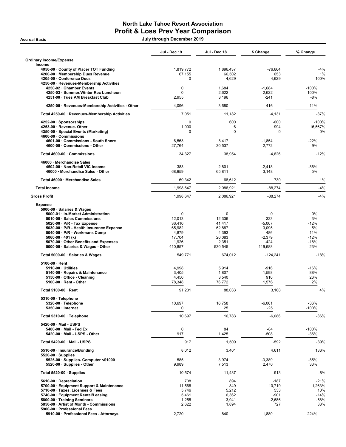## North Lake Tahoe Resort Association Profit & Loss Prev Year Comparison

Accrual Basis July through December 2019

|                                                                          | Jul - Dec 19      | Jul - Dec 18    | \$ Change         | % Change         |
|--------------------------------------------------------------------------|-------------------|-----------------|-------------------|------------------|
| <b>Ordinary Income/Expense</b><br>Income                                 |                   |                 |                   |                  |
| 4050-00 · County of Placer TOT Funding                                   | 1,819,772         | 1,896,437       | $-76,664$         | $-4%$            |
| 4200-00 · Membership Dues Revenue                                        | 67,155            | 66,502          | 653               | 1%               |
| 4205-00 · Conference Dues                                                | 0                 | 4,629           | $-4,629$          | $-100%$          |
| 4250-00 · Revenues-Membership Activities                                 |                   |                 |                   |                  |
| 4250-02 · Chamber Events                                                 | $\mathbf 0$       | 1,684           | $-1,684$          | $-100%$          |
| 4250-03 · Summer/Winter Rec Luncheon<br>4251-00 · Tues AM Breakfast Club | 0<br>2,955        | 2,622<br>3,196  | $-2,622$<br>-241  | $-100%$<br>$-8%$ |
| 4250-00 · Revenues-Membership Activities - Other                         | 4,096             | 3,680           | 416               | 11%              |
|                                                                          |                   |                 |                   |                  |
| Total 4250-00 · Revenues-Membership Activities                           | 7,051             | 11,182          | $-4,131$          | $-37%$           |
| 4252-00 · Sponsorships                                                   | 0                 | 600             | $-600$            | $-100%$          |
| 4253-00 · Revenue- Other                                                 | 1,000<br>$\Omega$ | 6<br>$\Omega$   | 994<br>$\Omega$   | 16,567%<br>0%    |
| 4350-00 · Special Events (Marketing)<br>4600-00 · Commissions            |                   |                 |                   |                  |
| 4601-00 · Commissions - South Shore                                      | 6,563             | 8,417           | $-1,854$          | $-22%$           |
| 4600-00 · Commissions - Other                                            | 27,764            | 30,537          | $-2,772$          | -9%              |
| Total 4600-00 · Commissions                                              | 34,327            | 38,954          | $-4,626$          | $-12%$           |
| 46000 · Merchandise Sales                                                |                   |                 |                   |                  |
| 4502-00 · Non-Retail VIC income                                          | 383               | 2,801           | $-2,418$          | -86%             |
| 46000 · Merchandise Sales - Other                                        | 68,959            | 65,811          | 3,148             | 5%               |
| Total 46000 · Merchandise Sales                                          | 69,342            | 68,612          | 730               | 1%               |
| <b>Total Income</b>                                                      | 1,998,647         | 2,086,921       | $-88,274$         | $-4%$            |
| <b>Gross Profit</b>                                                      | 1,998,647         | 2,086,921       | $-88,274$         | $-4%$            |
| <b>Expense</b>                                                           |                   |                 |                   |                  |
| 5000-00 · Salaries & Wages                                               |                   |                 |                   |                  |
| 5000-01 · In-Market Administration                                       | 0                 | $\mathbf 0$     | $\mathbf 0$       | 0%               |
| 5010-00 · Sales Commissions                                              | 12,013            | 12,336          | $-323$            | $-3%$            |
| 5020-00 · P/R - Tax Expense                                              | 36,410            | 41,417          | $-5,007$          | $-12%$           |
| 5030-00 · P/R - Health Insurance Expense                                 | 65,982            | 62,887          | 3,095             | 5%               |
| 5040-00 · P/R - Workmans Comp                                            | 4,879             | 4,393           | 486               | 11%              |
| 5060-00 · 401 (k)                                                        | 17,704            | 20,083          | $-2,379$          | $-12%$           |
| 5070-00 · Other Benefits and Expenses                                    | 1,926             | 2,351           | $-424$            | $-18%$           |
| 5000-00 · Salaries & Wages - Other                                       | 410,857           | 530,545         | $-119,688$        | $-23%$           |
| Total 5000-00 · Salaries & Wages                                         | 549,771           | 674,012         | $-124,241$        | $-18%$           |
| $5100-00 \cdot$ Rent                                                     |                   |                 |                   |                  |
| 5110-00 · Utilities                                                      | 4,998             | 5,914           | $-916$            | $-16%$           |
| 5140-00 · Repairs & Maintenance                                          | 3,405             | 1,807           | 1,598             | 88%              |
| 5150-00 · Office - Cleaning<br>5100-00 · Rent - Other                    | 4,450<br>78,348   | 3,540<br>76,772 | 910<br>1,576      | 26%<br>2%        |
| Total 5100-00 · Rent                                                     | 91,201            | 88,033          | 3,168             | 4%               |
|                                                                          |                   |                 |                   |                  |
| 5310-00 · Telephone                                                      |                   |                 |                   |                  |
| 5320-00 · Telephone<br>5350-00 · Internet                                | 10,697<br>0       | 16,758<br>25    | $-6,061$<br>$-25$ | -36%<br>$-100%$  |
| Total 5310-00 · Telephone                                                | 10,697            | 16,783          | $-6,086$          | -36%             |
| 5420-00 · Mail - USPS                                                    |                   |                 |                   |                  |
| 5480-00 · Mail - Fed Ex                                                  | $\mathbf 0$       | 84              | -84               | $-100%$          |
| 5420-00 · Mail - USPS - Other                                            | 917               | 1,425           | $-508$            | -36%             |
| Total 5420-00 · Mail - USPS                                              | 917               | 1,509           | $-592$            | -39%             |
| 5510-00 · Insurance/Bonding                                              | 8,012             | 3,401           | 4,611             | 136%             |
| $5520-00 \cdot$ Supplies                                                 |                   |                 |                   |                  |
| 5525-00 · Supplies- Computer <\$1000<br>5520-00 · Supplies - Other       | 585<br>9,989      | 3,974<br>7,513  | $-3,389$<br>2,476 | -85%<br>33%      |
| Total 5520-00 · Supplies                                                 | 10,574            | 11,487          | $-913$            | $-8%$            |
| 5610-00 · Depreciation                                                   | 708               | 894             | $-187$            | -21%             |
| 5700-00 · Equipment Support & Maintenance                                | 11,568            | 849             | 10,719            | 1,263%           |
| 5710-00 · Taxes, Licenses & Fees                                         | 5,746             | 5,212           | 533               | 10%              |
| 5740-00 · Equipment Rental/Leasing                                       | 5,461             | 6,362           | $-901$            | $-14%$           |
| 5800-00 · Training Seminars                                              | 1,255             | 3,941           | $-2,686$          | -68%             |
| 5850-00 · Artist of Month - Commissions                                  | 2,622             | 1,894           | 727               | 38%              |
| 5900-00 · Professional Fees                                              |                   |                 |                   |                  |
| 5910-00 · Professional Fees - Attorneys                                  | 2,720             | 840             | 1,880             | 224%             |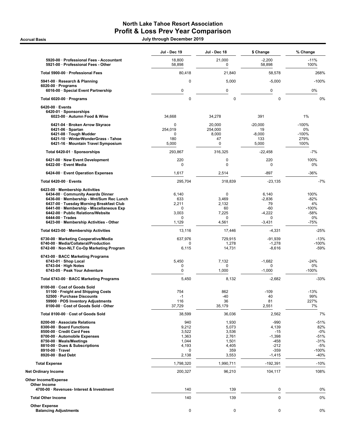## North Lake Tahoe Resort Association Profit & Loss Prev Year Comparison

Accrual Basis July through December 2019

|                                                                                    | Jul - Dec 19         | Jul - Dec 18         | \$ Change            | % Change          |
|------------------------------------------------------------------------------------|----------------------|----------------------|----------------------|-------------------|
| 5920-00 · Professional Fees - Accountant<br>5921-00 · Professional Fees - Other    | 18,800<br>58,898     | 21,000<br>0          | $-2,200$<br>58,898   | $-11%$<br>100%    |
| Total 5900-00 · Professional Fees                                                  | 80,418               | 21,840               | 58,578               | 268%              |
| 5941-00 · Research & Planning                                                      | $\pmb{0}$            | 5,000                | $-5,000$             | $-100%$           |
| $6020-00 \cdot$ Programs<br>6016-00 · Special Event Partnership                    | $\mathbf 0$          | $\pmb{0}$            | 0                    | 0%                |
| Total 6020-00 · Programs                                                           | $\mathbf 0$          | $\mathbf 0$          | 0                    | 0%                |
| $6420-00 \cdot$ Events                                                             |                      |                      |                      |                   |
| 6420-01 · Sponsorships<br>6023-00 · Autumn Food & Wine                             | 34,668               | 34,278               | 391                  | 1%                |
| 6421-04 · Broken Arrow Skyrace                                                     | $\mathbf 0$          | 20,000               | $-20,000$            | $-100%$           |
| $6421-06 \cdot$ Spartan<br>6421-08 · Tough Mudder                                  | 254,019<br>0         | 254,000<br>8,000     | 19<br>$-8,000$       | $0\%$<br>$-100%$  |
| 6421-10 · WinterWonderGrass - Tahoe                                                | 180                  | 47                   | 133                  | 279%              |
| 6421-16 · Mountain Travel Symposium                                                | 5,000                | 0                    | 5,000                | 100%              |
| Total 6420-01 · Sponsorships                                                       | 293,867              | 316,325              | $-22,458$            | -7%               |
| 6421-00 · New Event Development<br>6422-00 · Event Media                           | 220<br>$\mathbf 0$   | $\mathbf 0$<br>0     | 220<br>0             | 100%<br>0%        |
| 6424-00 · Event Operation Expenses                                                 | 1,617                | 2,514                | $-897$               | -36%              |
| Total 6420-00 · Events                                                             | 295,704              | 318,839              | $-23,135$            | $-7%$             |
| 6423-00 · Membership Activities                                                    |                      |                      |                      |                   |
| 6434-00 · Community Awards Dinner<br>6436-00 · Membership - Wnt/Sum Rec Lunch      | 6,140<br>633         | $\mathbf 0$<br>3,469 | 6,140<br>$-2,836$    | 100%<br>$-82%$    |
| 6437-00 · Tuesday Morning Breakfast Club                                           | 2,211                | 2,132                | 79                   | 4%                |
| 6441-00 · Membership - Miscellaneous Exp                                           | $\Omega$             | 60                   | $-60$                | $-100%$           |
| 6442-00 · Public Relations/Website                                                 | 3,003                | 7,225                | $-4,222$             | $-58%$            |
| $6444-00 \cdot Trades$<br>6423-00 · Membership Activities - Other                  | $\mathbf 0$<br>1,129 | 0<br>4,561           | 0<br>$-3,431$        | 0%<br>-75%        |
| Total 6423-00 · Membership Activities                                              | 13,116               | 17,446               | $-4,331$             | -25%              |
| 6730-00 · Marketing Cooperative/Media                                              | 637,976              | 729,915              | -91,939              | $-13%$            |
| 6740-00 · Media/Collateral/Production<br>6742-00 · Non-NLT Co-Op Marketing Program | 0<br>6,115           | 1,278<br>14,731      | $-1,278$<br>$-8,616$ | $-100%$<br>$-59%$ |
| 6743-00 · BACC Marketing Programs                                                  |                      |                      |                      |                   |
| $6743-01 \cdot$ Shop Local                                                         | 5,450                | 7,132                | $-1,682$             | $-24%$            |
| $6743-04 \cdot$ High Notes                                                         | 0                    | $\Omega$             | 0                    | 0%                |
| 6743-05 · Peak Your Adventure                                                      | $\mathbf 0$          | 1,000                | $-1,000$             | $-100%$           |
| Total 6743-00 · BACC Marketing Programs                                            | 5,450                | 8,132                | $-2,682$             | -33%              |
| 8100-00 · Cost of Goods Sold<br>51100 · Freight and Shipping Costs                 | 754                  | 862                  | $-109$               | $-13%$            |
| 52500 · Purchase Discounts                                                         | $-1$                 | $-40$                | 40                   | 99%               |
| 59900 · POS Inventory Adjustments                                                  | 116                  | 36                   | 81                   | 227%              |
| 8100-00 · Cost of Goods Sold - Other                                               | 37,729               | 35,179               | 2,551                | 7%                |
| Total 8100-00 · Cost of Goods Sold                                                 | 38,599               | 36,036               | 2,562                | 7%                |
| 8200-00 · Associate Relations                                                      | 940                  | 1,930                | $-990$               | -51%              |
| 8300-00 · Board Functions<br>8500-00 · Credit Card Fees                            | 9,212<br>3,522       | 5,073<br>3,536       | 4,139<br>$-15$       | 82%<br>$-0%$      |
| 8700-00 · Automobile Expenses                                                      | 1,363                | 2,761                | $-1,398$             | $-51%$            |
| 8750-00 · Meals/Meetings                                                           | 1,044                | 1,501                | -458                 | $-31%$            |
| 8810-00 · Dues & Subscriptions                                                     | 4,193                | 4,405                | $-212$               | $-5%$             |
| 8910-00 · Travel<br>8920-00 · Bad Debt                                             | 0<br>2,138           | 359<br>3,553         | $-359$<br>$-1,415$   | $-100%$<br>-40%   |
| <b>Total Expense</b>                                                               | 1,798,320            | 1,990,711            | $-192,391$           | $-10%$            |
| Net Ordinary Income                                                                | 200,327              | 96,210               | 104,117              | 108%              |
| Other Income/Expense                                                               |                      |                      |                      |                   |
| Other Income<br>4700-00 · Revenues- Interest & Investment                          | 140                  |                      | 0                    | 0%                |
| <b>Total Other Income</b>                                                          | 140                  | 139<br>139           | $\pmb{0}$            | 0%                |
| <b>Other Expense</b>                                                               |                      |                      |                      |                   |
| <b>Balancing Adjustments</b>                                                       | $\pmb{0}$            | 0                    | 0                    | 0%                |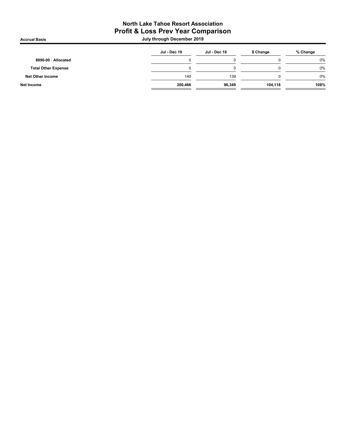# North Lake Tahoe Resort Association Profit & Loss Prev Year Comparison

Accrual Basis July through December 2019

|                            | Jul - Dec 19 | Jul - Dec 18 | \$ Change | % Change |
|----------------------------|--------------|--------------|-----------|----------|
| 8990-00 · Allocated        |              |              |           | 0%       |
| <b>Total Other Expense</b> |              |              |           | 0%       |
| Net Other Income           | 140          | 139          |           | 0%       |
| Net Income                 | 200,466      | 96,349       | 104,118   | 108%     |
|                            |              |              |           |          |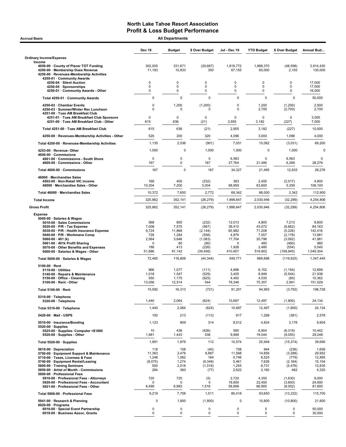| <b>Accrual Basis</b>                                                                                                                                                                                                                                                                                                                     |                                                             | <b>All Departments</b>                                          |                                                                              |                                                                        |                                                                         |                                                                                     |                                                                             |
|------------------------------------------------------------------------------------------------------------------------------------------------------------------------------------------------------------------------------------------------------------------------------------------------------------------------------------------|-------------------------------------------------------------|-----------------------------------------------------------------|------------------------------------------------------------------------------|------------------------------------------------------------------------|-------------------------------------------------------------------------|-------------------------------------------------------------------------------------|-----------------------------------------------------------------------------|
|                                                                                                                                                                                                                                                                                                                                          | <b>Dec 19</b>                                               | <b>Budget</b>                                                   | \$ Over Budget                                                               | Jul - Dec 19                                                           | <b>YTD Budget</b>                                                       | \$ Over Budget                                                                      | Annual Bud                                                                  |
| <b>Ordinary Income/Expense</b>                                                                                                                                                                                                                                                                                                           |                                                             |                                                                 |                                                                              |                                                                        |                                                                         |                                                                                     |                                                                             |
| Income<br>4050-00 County of Placer TOT Funding<br>4200-00 · Membership Dues Revenue<br>4250-00 · Revenues-Membership Activities<br>4250-01 · Community Awards                                                                                                                                                                            | 302,005<br>11,183                                           | 331,671<br>10,833                                               | (29, 667)<br>350                                                             | 1,819,772<br>67,155                                                    | 1,868,370<br>65,000                                                     | (48, 598)<br>2,155                                                                  | 3,914,430<br>130,000                                                        |
| 4250-04 · Silent Auction<br>4250-05 · Sponsorships<br>4250-01 Community Awards - Other                                                                                                                                                                                                                                                   | 0<br>0<br>0                                                 | 0<br>0<br>$\mathbf 0$                                           | 0<br>0<br>$\mathbf 0$                                                        | 0<br>0<br>0                                                            | 0<br>0<br>0                                                             | 0<br>0<br>0                                                                         | 17,000<br>17,000<br>16,000                                                  |
| Total 4250-01 · Community Awards                                                                                                                                                                                                                                                                                                         | 0                                                           | $\mathbf 0$                                                     | $\mathbf 0$                                                                  | $\mathbf 0$                                                            | $\mathbf 0$                                                             | $\mathbf 0$                                                                         | 50,000                                                                      |
| 4250-02 · Chamber Events<br>4250-03 · Summer/Winter Rec Luncheon<br>4251-00 · Tues AM Breakfast Club                                                                                                                                                                                                                                     | 0<br>0                                                      | 1,200<br>0                                                      | (1,200)<br>$\Omega$                                                          | 0<br>0                                                                 | 1,200<br>2,700                                                          | (1,200)<br>(2,700)                                                                  | 2,500<br>2,700                                                              |
| 4251-01 · Tues AM Breakfast Club Sponsors<br>4251-00 · Tues AM Breakfast Club - Other                                                                                                                                                                                                                                                    | $\mathbf 0$<br>615                                          | $\mathbf 0$<br>636                                              | $\mathbf 0$<br>(21)                                                          | $\Omega$<br>2,955                                                      | $\Omega$<br>3,182                                                       | 0<br>(227)                                                                          | 3,000<br>7,000                                                              |
| Total 4251-00 · Tues AM Breakfast Club                                                                                                                                                                                                                                                                                                   | 615                                                         | 636                                                             | (21)                                                                         | 2,955                                                                  | 3,182                                                                   | (227)                                                                               | 10,000                                                                      |
| 4250-00 · Revenues-Membership Activities - Other                                                                                                                                                                                                                                                                                         | 520                                                         | 200                                                             | 320                                                                          | 4,096                                                                  | 3,000                                                                   | 1,096                                                                               | 4,000                                                                       |
| Total 4250-00 · Revenues-Membership Activities                                                                                                                                                                                                                                                                                           | 1,135                                                       | 2,036                                                           | (901)                                                                        | 7,051                                                                  | 10,082                                                                  | (3,031)                                                                             | 69,200                                                                      |
| 4253-00 · Revenue-Other<br>4600-00 Commissions<br>4601-00 Commissions - South Shore                                                                                                                                                                                                                                                      | 1,000<br>0                                                  | $\mathbf 0$<br>0                                                | 1,000<br>0                                                                   | 1,000<br>6,563                                                         | $\mathbf 0$<br>$\mathbf 0$                                              | 1,000<br>6,563                                                                      | $\mathbf 0$<br>$\mathbf 0$                                                  |
| 4600-00 · Commissions - Other                                                                                                                                                                                                                                                                                                            | 167                                                         | 0                                                               | 167                                                                          | 27,764                                                                 | 21,495                                                                  | 6,269                                                                               | 28,276                                                                      |
| Total 4600-00 · Commissions                                                                                                                                                                                                                                                                                                              | 167                                                         | $\Omega$                                                        | 167                                                                          | 34,327                                                                 | 21,495                                                                  | 12,833                                                                              | 28,276                                                                      |
| 46000 · Merchandise Sales<br>4502-00 · Non-Retail VIC income<br>46000 · Merchandise Sales - Other                                                                                                                                                                                                                                        | 168<br>10,204                                               | 400<br>7,200                                                    | (232)<br>3,004                                                               | 383<br>68,959                                                          | 2,400<br>63,600                                                         | (2,017)<br>5,359                                                                    | 4,800<br>108,100                                                            |
| Total 46000 · Merchandise Sales                                                                                                                                                                                                                                                                                                          | 10,372                                                      | 7,600                                                           | 2,772                                                                        | 69,342                                                                 | 66,000                                                                  | 3,342                                                                               | 112,900                                                                     |
| <b>Total Income</b>                                                                                                                                                                                                                                                                                                                      | 325,862                                                     | 352,141                                                         | (26, 279)                                                                    | 1,998,647                                                              | 2,030,946                                                               | (32, 299)                                                                           | 4,254,806                                                                   |
| <b>Gross Profit</b>                                                                                                                                                                                                                                                                                                                      | 325,862                                                     | 352,141                                                         | (26, 279)                                                                    | 1,998,647                                                              | 2,030,946                                                               | (32, 299)                                                                           | 4,254,806                                                                   |
| <b>Expense</b><br>5000-00 · Salaries & Wages<br>5010-00 · Sales Commissions<br>5020-00 $\cdot$ P/R - Tax Expense<br>5030-00 · P/R - Health Insurance Expense<br>5040-00 · P/R - Workmans Comp<br>5060-00 $\cdot$ 401 (k)<br>5061-00 · 401k Profit Sharing<br>5070-00 · Other Benefits and Expenses<br>5000-00 · Salaries & Wages - Other | 568<br>7,008<br>9,724<br>728<br>2,564<br>0<br>188<br>51,686 | 800<br>7,575<br>11,868<br>1,284<br>3,646<br>80<br>413<br>91,142 | (232)<br>(567)<br>(2, 144)<br>(556)<br>(1,083)<br>(80)<br>(226)<br>(39, 456) | 12,013<br>36,410<br>65,982<br>4,879<br>17,704<br>0<br>1,926<br>410,857 | 4,800<br>43,072<br>71,208<br>7,057<br>20,796<br>480<br>2,480<br>519.802 | 7,213<br>(6,662)<br>(5, 226)<br>(2, 178)<br>(3,092)<br>(480)<br>(554)<br>(108, 945) | 9,600<br>84,163<br>142,416<br>13,981<br>41,981<br>960<br>5,040<br>1.049.304 |
| Total 5000-00 · Salaries & Wages                                                                                                                                                                                                                                                                                                         | 72,465                                                      | 116,809                                                         | (44, 344)                                                                    | 549,771                                                                | 669.696                                                                 | (119, 925)                                                                          | 1,347,445                                                                   |
| $5100-00 \cdot$ Rent<br>$5110-00 \cdot$ Utilities<br>5140-00 · Repairs & Maintenance<br>5150-00 · Office - Cleaning<br>5100-00 · Rent - Other                                                                                                                                                                                            | 966<br>1,018<br>550<br>13,058                               | 1,077<br>1,547<br>1,175<br>12,514                               | (111)<br>(529)<br>(625)<br>544                                               | 4,998<br>3,405<br>4,450<br>78,348                                      | 6,152<br>8,949<br>4,535<br>75,357                                       | (1, 154)<br>(5, 544)<br>(85)<br>2,991                                               | 12,899<br>21,938<br>10,362<br>151,529                                       |
| Total 5100-00 · Rent                                                                                                                                                                                                                                                                                                                     | 15,592                                                      | 16,313                                                          | (721)                                                                        | 91,201                                                                 | 94,993                                                                  | (3,792)                                                                             | 196,728                                                                     |
| 5310-00 · Telephone<br>5320-00 · Telephone                                                                                                                                                                                                                                                                                               | 1,440                                                       | 2,064                                                           | (624)                                                                        | 10,697                                                                 | 12,497                                                                  | (1,800)                                                                             | 24,134                                                                      |
| Total 5310-00 · Telephone                                                                                                                                                                                                                                                                                                                | 1,440                                                       | 2,064                                                           | (624)                                                                        | 10,697                                                                 | 12,497                                                                  | (1,800)                                                                             | 24,134                                                                      |
| 5420-00 · Mail - USPS                                                                                                                                                                                                                                                                                                                    | 100                                                         | 213                                                             | (113)                                                                        | 917                                                                    | 1,298                                                                   | (381)                                                                               | 2,578                                                                       |
| 5510-00 · Insurance/Bonding<br>$5520-00 \cdot$ Supplies<br>5525-00 · Supplies- Computer <\$1000                                                                                                                                                                                                                                          | 1,123<br>10                                                 | 809<br>436                                                      | 314<br>(426)                                                                 | 8,012<br>585                                                           | 4,834<br>6,904                                                          | 3,178<br>(6, 319)                                                                   | 9,604<br>10,442                                                             |
| 5520-00 · Supplies - Other                                                                                                                                                                                                                                                                                                               | 1,981                                                       | 1,443                                                           | 538                                                                          | 9,989                                                                  | 19,044                                                                  | (9,055)                                                                             | 29,248                                                                      |
| Total 5520-00 · Supplies                                                                                                                                                                                                                                                                                                                 | 1,991                                                       | 1,879                                                           | 112                                                                          | 10,574                                                                 | 25,948                                                                  | (15, 374)                                                                           | 39,690                                                                      |
| 5610-00 · Depreciation<br>5700-00 · Equipment Support & Maintenance<br>5710-00 · Taxes, Licenses & Fees<br>5740-00 · Equipment Rental/Leasing<br>5800-00 · Training Seminars<br>5850-00 · Artist of Month - Commissions<br>5900-00 · Professional Fees<br>5910-00 · Professional Fees - Attorneys                                        | 118<br>11,363<br>1,246<br>(8,075)<br>500<br>284<br>720      | 158<br>2,476<br>1,062<br>1,274<br>2,018<br>360<br>725           | (40)<br>8,887<br>184<br>(9, 349)<br>(1, 518)<br>(77)<br>(5)                  | 708<br>11,568<br>5,746<br>5,461<br>1,255<br>2,622<br>2,720             | 944<br>14,856<br>6,525<br>7,626<br>6,731<br>2,160<br>4,350              | (236)<br>(3, 288)<br>(779)<br>(2, 164)<br>(5, 476)<br>462<br>(1,630)                | 1,656<br>29,952<br>12,895<br>15,104<br>12,835<br>4,320<br>9,000             |
| 5920-00 · Professional Fees - Accountant<br>5921-00 · Professional Fees - Other                                                                                                                                                                                                                                                          | 0<br>8,499                                                  | 0<br>6,983                                                      | $\Omega$<br>1,516                                                            | 18,800<br>58,898                                                       | 22,400<br>66,900                                                        | (3,600)<br>(8,002)                                                                  | 24,900<br>81,800                                                            |
| Total 5900-00 · Professional Fees                                                                                                                                                                                                                                                                                                        | 9,219                                                       | 7,708                                                           | 1,511                                                                        | 80,418                                                                 | 93,650                                                                  | (13, 232)                                                                           | 115,700                                                                     |
| 5941-00 · Research & Planning                                                                                                                                                                                                                                                                                                            | $\mathbf 0$                                                 | 1,800                                                           | (1,800)                                                                      | 0                                                                      | 10,800                                                                  | (10, 800)                                                                           | 21,600                                                                      |
| $6020-00 \cdot$ Programs<br>6016-00 · Special Event Partnership<br>6018-00 · Business Assoc. Grants                                                                                                                                                                                                                                      | 0<br>0                                                      | 0<br>0                                                          | 0<br>0                                                                       | 0<br>0                                                                 | 0<br>$\mathbf 0$                                                        | 0<br>0                                                                              | 50,000<br>30,000                                                            |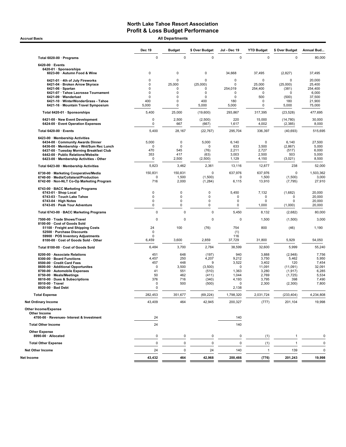Accrual Basis **Accrual Basis All Departments** 

|                                                                                    | <b>Dec 19</b> | <b>Budget</b>    | \$ Over Budget      | Jul - Dec 19   | <b>YTD Budget</b> | \$ Over Budget      | Annual Bud        |
|------------------------------------------------------------------------------------|---------------|------------------|---------------------|----------------|-------------------|---------------------|-------------------|
| Total 6020-00 · Programs                                                           | $\pmb{0}$     | $\mathbf 0$      | $\mathbf 0$         | $\mathbf 0$    | $\mathbf 0$       | $\mathbf 0$         | 80,000            |
| 6420-00 · Events                                                                   |               |                  |                     |                |                   |                     |                   |
| 6420-01 · Sponsorships<br>6023-00 · Autumn Food & Wine                             | 0             | 0                | 0                   | 34,668         | 37,495            | (2,827)             | 37,495            |
| 6421-01 · 4th of July Fireworks                                                    | 0             | $\mathbf 0$      | 0                   | 0              | $\Omega$          | $\Omega$            | 20,000            |
| 6421-04 · Broken Arrow Skyrace<br>$6421-06 \cdot$ Spartan                          | 0<br>0        | 25,000<br>0      | (25,000)<br>0       | 0<br>254,019   | 25,000<br>254,400 | (25,000)<br>(381)   | 25,400<br>254,400 |
| 6421-07 · Tahoe Lacrosse Tournament                                                | 0             | $\mathbf 0$      | 0                   | 0              | 0                 | $\Omega$            | 6,000             |
| 6421-09 · Wanderlust                                                               | 0             | $\mathbf 0$      | 0                   | 0              | 500               | (500)               | 37,500            |
| 6421-10 · WinterWonderGrass - Tahoe<br>6421-16 · Mountain Travel Symposium         | 400<br>5,000  | $\mathbf 0$<br>0 | 400<br>5,000        | 180<br>5,000   | 0<br>0            | 180<br>5,000        | 21,900<br>75,000  |
| Total 6420-01 · Sponsorships                                                       | 5,400         | 25,000           | (19,600)            | 293,867        | 317,395           | (23, 528)           | 477,695           |
| 6421-00 · New Event Development                                                    | 0             | 2,500            | (2,500)             | 220            | 15,000            | (14, 780)           | 30,000            |
| 6424-00 · Event Operation Expenses                                                 | 0             | 667              | (667)               | 1,617          | 4,002             | (2, 385)            | 8,000             |
| Total 6420-00 · Events                                                             | 5,400         | 28,167           | (22, 767)           | 295,704        | 336,397           | (40, 693)           | 515,695           |
| 6423-00 · Membership Activities                                                    | 5,000         | 0                | 5,000               | 6,140          | 0                 |                     | 27,500            |
| 6434-00 · Community Awards Dinner<br>6436 00 · Membership - Wnt/Sum Rec Lunch      | $\mathbf 0$   | 0                | 0                   | 633            | 3,500             | 6,140<br>(2,867)    | 5,000             |
| 6437-00 · Tuesday Morning Breakfast Club                                           | 470           | 545              | (76)                | 2,211          | 2,727             | (517)               | 6,000             |
| 6442-00 · Public Relations/Website                                                 | 353           | 417              | (63)                | 3,003          | 2,500             | 503                 | 5,000             |
| 6423-00 · Membership Activities - Other                                            | 0             | 2,500            | (2,500)             | 1,129          | 4,150             | (3,021)             | 8,500             |
| Total 6423-00 · Membership Activities                                              | 5,823         | 3,462            | 2,361               | 13,116         | 12,877            | 238                 | 52,000            |
| 6730-00 · Marketing Cooperative/Media                                              | 150,831       | 150,831          | 0                   | 637,976        | 637,976           | $\mathbf 0$         | 1,503,362         |
| 6740-00 · Media/Collateral/Production<br>6742-00 · Non-NLT Co-Op Marketing Program | 0<br>716      | 1,500<br>2,000   | (1,500)<br>(1, 284) | 0<br>6,115     | 1,500<br>13,910   | (1,500)<br>(7, 795) | 3,000<br>27,910   |
| 6743-00 · BACC Marketing Programs                                                  |               |                  |                     |                |                   |                     |                   |
| 6743-01 · Shop Local<br>6743-03 · Touch Lake Tahoe                                 | 0<br>0        | 0<br>0           | 0<br>0              | 5,450<br>0     | 7,132<br>0        | (1,682)<br>0        | 20,000<br>20,000  |
| $6743-04 \cdot$ High Notes                                                         | 0             | $\mathbf 0$      | 0                   | $\mathbf 0$    | 0                 | 0                   | 20,000            |
| 6743-05 · Peak Your Adventure                                                      | 0             | 0                | $\pmb{0}$           | $\mathbf 0$    | 1,000             | (1,000)             | 20,000            |
| Total 6743-00 · BACC Marketing Programs                                            | 0             | $\Omega$         | $\Omega$            | 5,450          | 8,132             | (2,682)             | 80,000            |
| 7500-00 · Trade Shows/Travel                                                       | 0             | $\Omega$         | 0                   | 0              | 1,500             | (1,500)             | 3,000             |
| 8100-00 · Cost of Goods Sold<br>51100 · Freight and Shipping Costs                 | 24            | 100              | (76)                | 754            | 800               | (46)                | 1,190             |
| 52500 · Purchase Discounts                                                         | 0             |                  |                     | (1)            |                   |                     |                   |
| 59900 · POS Inventory Adjustments<br>8100-00 · Cost of Goods Sold - Other          | 0<br>6,459    | 3,600            | 2,859               | 116<br>37,729  | 31,800            | 5,929               | 54,050            |
|                                                                                    | 6,484         | 3,700            | 2,784               | 38,599         | 32,600            | 5,999               | 55,240            |
| Total 8100-00 · Cost of Goods Sold                                                 |               |                  |                     |                |                   |                     |                   |
| 8200-00 · Associate Relations<br>8300-00 · Board Functions                         | 451<br>4,457  | 648<br>250       | (197)<br>4,207      | 940<br>9,212   | 3,888<br>3,750    | (2,948)<br>5,462    | 7,756<br>5,950    |
| 8500-00 · Credit Card Fees                                                         | 457           | 448              | 9                   | 3,522          | 3,402             | 120                 | 7,454             |
| 8600-00 · Additional Opportunites                                                  | 0             | 3,500            | (3,500)             | 0              | 11,091            | (11,091)            | 32,091            |
| 8700-00 · Automobile Expenses                                                      | 41            | 551              | (510)               | 1,363          | 3,280             | (1, 917)            | 6,285             |
| 8750-00 · Meals/Meetings<br>8810-00 · Dues & Subscriptions                         | 50<br>376     | 462<br>716       | (411)<br>(340)      | 1,044<br>4,193 | 2,769<br>3,795    | (1,725)<br>398      | 5,534<br>7,490    |
| 8910-00 · Travel                                                                   | 0             | 500              | (500)               | 0              | 2,300             | (2,300)             | 7,800             |
| 8920-00 · Bad Debt                                                                 | 0             |                  |                     | 2,138          |                   |                     |                   |
| <b>Total Expense</b>                                                               | 282,453       | 351,677          | (69, 224)           | 1,798,320      | 2,031,724         | (233, 404)          | 4,234,808         |
| <b>Net Ordinary Income</b>                                                         | 43,409        | 464              | 42,945              | 200,327        | (777)             | 201,104             | 19,998            |
| Other Income/Expense<br>Other Income                                               |               |                  |                     |                |                   |                     |                   |
| 4700-00 · Revenues- Interest & Investment                                          | 24            |                  |                     | 140            |                   |                     |                   |
| <b>Total Other Income</b>                                                          | 24            |                  |                     | 140            |                   |                     |                   |
| <b>Other Expense</b><br>8990-00 · Allocated                                        | 0             | 0                | 0                   | 0              | (1)               | -1                  | 0                 |
| <b>Total Other Expense</b>                                                         | 0             | 0                | 0                   | 0              | (1)               | $\overline{1}$      | 0                 |
| <b>Net Other Income</b>                                                            | 24            | 0                | 24                  | 140            | $\mathbf{1}$      | 139                 | 0                 |
| Net Income                                                                         | 43,432        | 464              | 42,968              | 200,466        | (776)             | 201,243             | 19,998            |
|                                                                                    |               |                  |                     |                |                   |                     |                   |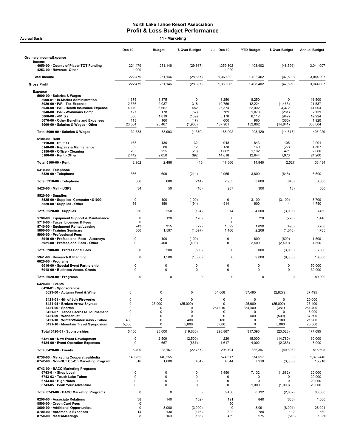| <b>Accrual Basis</b>                                                                                                                                                                                                                                                                                         |                                                        | 11 - Marketing                                           |                                                     |                                                             |                                                               |                                                                          |                                                                    |
|--------------------------------------------------------------------------------------------------------------------------------------------------------------------------------------------------------------------------------------------------------------------------------------------------------------|--------------------------------------------------------|----------------------------------------------------------|-----------------------------------------------------|-------------------------------------------------------------|---------------------------------------------------------------|--------------------------------------------------------------------------|--------------------------------------------------------------------|
|                                                                                                                                                                                                                                                                                                              | <b>Dec 19</b>                                          | <b>Budget</b>                                            | \$ Over Budget                                      | Jul - Dec 19                                                | <b>YTD Budget</b>                                             | \$ Over Budget                                                           | <b>Annual Budget</b>                                               |
| <b>Ordinary Income/Expense</b>                                                                                                                                                                                                                                                                               |                                                        |                                                          |                                                     |                                                             |                                                               |                                                                          |                                                                    |
| Income<br>4050-00 County of Placer TOT Funding<br>4253-00 · Revenue- Other                                                                                                                                                                                                                                   | 221,479<br>1,000                                       | 251,146                                                  | (29, 667)                                           | 1,359,802<br>1,000                                          | 1,408,402                                                     | (48, 599)                                                                | 3,044,007                                                          |
| <b>Total Income</b>                                                                                                                                                                                                                                                                                          | 222,479                                                | 251,146                                                  | (28, 667)                                           | 1,360,802                                                   | 1,408,402                                                     | (47, 599)                                                                | 3,044,007                                                          |
| <b>Gross Profit</b>                                                                                                                                                                                                                                                                                          | 222,479                                                | 251,146                                                  | (28, 667)                                           | 1,360,802                                                   | 1,408,402                                                     | (47, 599)                                                                | 3,044,007                                                          |
| <b>Expense</b><br>5000-00 · Salaries & Wages<br>5000-01 · In-Market Administration<br>$5020-00 \cdot P/R$ - Tax Expense<br>5030-00 · P/R - Health Insurance Expense<br>5040-00 · P/R - Workmans Comp<br>5060-00 $\cdot$ 401 (k)<br>5070-00 Other Benefits and Expenses<br>5000-00 · Salaries & Wages - Other | 1,375<br>2,356<br>4,119<br>127<br>880<br>113<br>23,564 | 1,375<br>2,037<br>3,667<br>178<br>1,019<br>160<br>25,467 | 0<br>318<br>452<br>(52)<br>(139)<br>(47)<br>(1,903) | 8,250<br>10,759<br>25,374<br>789<br>5,170<br>600<br>137,961 | 8,250<br>12,224<br>22,002<br>1,070<br>6,112<br>960<br>152,802 | $\mathbf 0$<br>(1, 465)<br>3,372<br>(281)<br>(942)<br>(360)<br>(14, 841) | 16,500<br>21,537<br>44,004<br>2,139<br>12,224<br>1,920<br>305,604  |
| Total 5000-00 · Salaries & Wages                                                                                                                                                                                                                                                                             | 32,533                                                 | 33,903                                                   | (1,370)                                             | 188,902                                                     | 203,420                                                       | (14, 518)                                                                | 403,929                                                            |
| 5100-00 · Rent<br>$5110-00 \cdot$ Utilities<br>5140-00 · Repairs & Maintenance<br>5150-00 · Office - Cleaning<br>$5100-00 \cdot$ Rent - Other                                                                                                                                                                | 163<br>92<br>205<br>2,442                              | 130<br>80<br>225<br>2,050                                | 32<br>12<br>(20)<br>392                             | 948<br>138<br>1,662<br>14,618                               | 843<br>160<br>1,192<br>12,644                                 | 105<br>(22)<br>471<br>1,973                                              | 2,001<br>4,367<br>2,866<br>24,200                                  |
| Total 5100-00 · Rent                                                                                                                                                                                                                                                                                         | 2,902                                                  | 2,486                                                    | 416                                                 | 17,366                                                      | 14,840                                                        | 2,527                                                                    | 33,434                                                             |
| 5310-00 · Telephone<br>5320-00 · Telephone                                                                                                                                                                                                                                                                   | 386                                                    | 600                                                      | (214)                                               | 2,955                                                       | 3,600                                                         | (645)                                                                    | 6,600                                                              |
| Total 5310-00 · Telephone                                                                                                                                                                                                                                                                                    | 386                                                    | 600                                                      | (214)                                               | 2,955                                                       | 3,600                                                         | (645)                                                                    | 6,600                                                              |
| 5420-00 Mail - USPS                                                                                                                                                                                                                                                                                          | 34                                                     | 50                                                       | (16)                                                | 287                                                         | 300                                                           | (13)                                                                     | 600                                                                |
| $5520-00 \cdot$ Supplies<br>5525-00 · Supplies- Computer <\$1000<br>5520-00 · Supplies - Other                                                                                                                                                                                                               | 0<br>56                                                | 100<br>150                                               | (100)<br>(94)                                       | $\mathbf 0$<br>914                                          | 3,100<br>900                                                  | (3, 100)<br>14                                                           | 3,700<br>4,750                                                     |
| Total 5520-00 · Supplies                                                                                                                                                                                                                                                                                     | 56                                                     | 250                                                      | (194)                                               | 914                                                         | 4,000                                                         | (3,086)                                                                  | 8,450                                                              |
| 5700-00 · Equipment Support & Maintenance<br>5710-00 · Taxes, Licenses & Fees<br>5740-00 · Equipment Rental/Leasing                                                                                                                                                                                          | 0<br>0<br>243                                          | 120<br>315                                               | (120)<br>(72)                                       | $\mathbf 0$<br>60<br>1,392                                  | 720<br>1,890                                                  | (720)<br>(498)                                                           | 1,440<br>3,780                                                     |
| 5800-00 · Training Seminars<br>5900-00 · Professional Fees                                                                                                                                                                                                                                                   | 500<br>0                                               | 1,597<br>100                                             | (1,097)                                             | 1,166<br>$\mathsf 0$                                        | 2,206<br>600                                                  | (1,040)                                                                  | 4,785<br>1,500                                                     |
| 5910-00 · Professional Fees - Attorneys<br>5921-00 · Professional Fees - Other                                                                                                                                                                                                                               | 0                                                      | 400                                                      | (100)<br>(400)                                      | 0                                                           | 2,400                                                         | (600)<br>(2,400)                                                         | 4,800                                                              |
| Total 5900-00 · Professional Fees                                                                                                                                                                                                                                                                            | $\mathbf 0$                                            | 500                                                      | (500)                                               | $\mathbf 0$                                                 | 3,000                                                         | (3,000)                                                                  | 6,300                                                              |
| 5941-00 · Research & Planning<br>$6020-00 \cdot$ Programs<br>6016-00 · Special Event Partnership                                                                                                                                                                                                             | 0<br>0                                                 | 1,500<br>$\pmb{0}$                                       | (1,500)<br>0                                        | 0<br>$\mathbf 0$                                            | 9,000<br>0                                                    | (9,000)<br>$\mathbf 0$                                                   | 18,000<br>50,000                                                   |
| 6018-00 · Business Assoc. Grants                                                                                                                                                                                                                                                                             | 0                                                      | 0                                                        | 0                                                   | $\mathbf 0$                                                 | 0                                                             | 0                                                                        | 30,000                                                             |
| Total 6020-00 · Programs                                                                                                                                                                                                                                                                                     | $\mathbf 0$                                            | 0                                                        | 0                                                   | 0                                                           | $\pmb{0}$                                                     | 0                                                                        | 80,000                                                             |
| $6420-00$ · Events<br>6420-01 · Sponsorships<br>6023-00 · Autumn Food & Wine                                                                                                                                                                                                                                 | $\mathbf 0$                                            | $\mathbf 0$                                              | $\Omega$                                            | 34,668                                                      | 37,495                                                        | (2,827)                                                                  | 37,495                                                             |
| 6421-01 · 4th of July Fireworks<br>6421-04 · Broken Arrow Skyrace<br>$6421-06 \cdot$ Spartan<br>6421-07 · Tahoe Lacrosse Tournament<br>6421-09 · Wanderlust<br>6421-10 · WinterWonderGrass - Tahoe<br>6421-16 · Mountain Travel Symposium                                                                    | 0<br>0<br>$\mathbf 0$<br>0<br>0<br>400<br>5,000        | $\mathbf 0$<br>25,000<br>0<br>0<br>0<br>0<br>$\pmb{0}$   | 0<br>(25,000)<br>0<br>0<br>0<br>400<br>5,000        | 0<br>0<br>254,019<br>0<br>0<br>180<br>5,000                 | 0<br>25,000<br>254,400<br>0<br>500<br>0<br>0                  | 0<br>(25,000)<br>(381)<br>0<br>(500)<br>180<br>5,000                     | 20,000<br>25,400<br>254,400<br>6,000<br>37,500<br>21,900<br>75,000 |
| Total 6420-01 · Sponsorships                                                                                                                                                                                                                                                                                 | 5,400                                                  | 25,000                                                   | (19,600)                                            | 293,867                                                     | 317,395                                                       | (23, 528)                                                                | 477,695                                                            |
| 6421-00 · New Event Development<br>6424-00 · Event Operation Expenses                                                                                                                                                                                                                                        | 0<br>0                                                 | 2,500<br>667                                             | (2,500)<br>(667)                                    | 220<br>1,617                                                | 15,000<br>4,002                                               | (14, 780)<br>(2, 385)                                                    | 30,000<br>8,000                                                    |
| Total 6420-00 · Events                                                                                                                                                                                                                                                                                       | 5,400                                                  | 28,167                                                   | (22, 767)                                           | 295,704                                                     | 336,397                                                       | (40, 693)                                                                | 515,695                                                            |
| 6730-00 · Marketing Cooperative/Media<br>6742-00 · Non-NLT Co-Op Marketing Program                                                                                                                                                                                                                           | 140,255<br>516                                         | 140,255<br>1,000                                         | 0<br>(484)                                          | 574,517<br>4,544                                            | 574,517<br>7,910                                              | 0<br>(3,366)                                                             | 1,376,446<br>15,910                                                |
| 6743-00 · BACC Marketing Programs<br>$6743-01 \cdot$ Shop Local<br>6743-03 · Touch Lake Tahoe<br>$6743-04 \cdot$ High Notes<br>6743-05 · Peak Your Adventure                                                                                                                                                 | 0<br>0<br>0<br>0                                       | $\Omega$<br>0<br>0<br>0                                  | 0<br>0<br>0<br>0                                    | 5,450<br>0<br>0<br>0                                        | 7,132<br>0<br>$\mathbf 0$<br>1,000                            | (1,682)<br>0<br><sup>0</sup><br>(1,000)                                  | 20,000<br>20,000<br>20,000<br>20,000                               |
| Total 6743-00 · BACC Marketing Programs                                                                                                                                                                                                                                                                      | 0                                                      | 0                                                        | 0                                                   | 5,450                                                       | 8,132                                                         | (2,682)                                                                  | 80,000                                                             |
| 8200-00 · Associate Relations<br>8500-00 · Credit Card Fees                                                                                                                                                                                                                                                  | 38<br>0                                                | 140                                                      | (102)                                               | 191<br>50                                                   | 840                                                           | (650)                                                                    | 1,660                                                              |
| 8600-00 · Additional Opportunites<br>8700-00 · Automobile Expenses<br>8750-00 · Meals/Meetings                                                                                                                                                                                                               | 0<br>14<br>8                                           | 3,000<br>130<br>163                                      | (3,000)<br>(116)<br>(155)                           | 0<br>892<br>459                                             | 8,091<br>780<br>975                                           | (8,091)<br>112<br>(516)                                                  | 26,091<br>1,560<br>1,950                                           |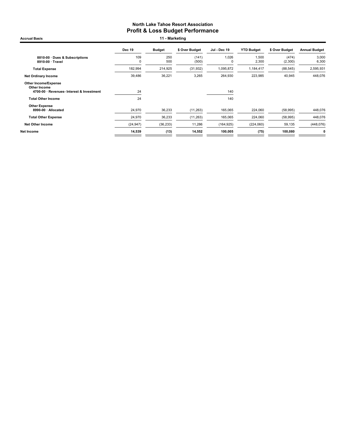Dec 19 Budget \$ Over Budget Jul - Dec 19 YTD Budget \$ Over Budget Annual Budget 8810-00 · Dues & Subscriptions 109 250 (141) 1,026 1,500 (474) 3,000 8910-00 · Travel 0 500 (500) 0 2,300 (2,300) 6,300 Total Expense 182,994 214,925 (31,932) 1,095,872 1,184,417 (88,545) 2,595,931 Net Ordinary Income 39,486 36,221 3,265 264,930 223,985 40,945 448,076 Other Income/Expense Other Income 4700-00 · Revenues- Interest & Investment 24 140 Total Other Income 24 140 Other Expense<br> 8990-00 · Allocated 24,970 36,233 (11,263) 165,065 224,060 (58,995) 448,076 Total Other Expense 24,970 36,233 (11,263) 165,065 224,060 (58,995) 448,076 Net Other Income (24,947) (36,233) 11,286 (164,925) (224,060) 59,135 (448,076) Net Income 14,539 (13) 14,552 100,005 (75) 100,080 0 Accrual Basis **11 - Marketing**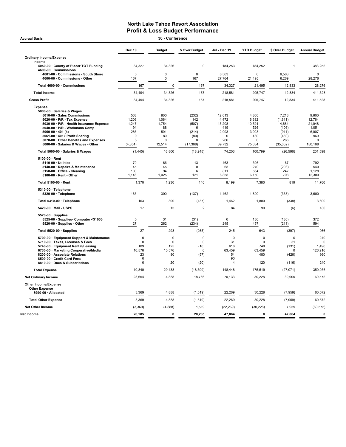| 30 - Conference<br><b>Accrual Basis</b>                                                                                                                                                                                                                                                                                                                                                                                                                                                                                                                                                                            |                                                                                                                                   |                                                                                                                               |                                                                                                                                      |                                                                                                                                          |                                                                                                                                              |                                                                                                                                              |                                                                                                                                            |  |  |  |
|--------------------------------------------------------------------------------------------------------------------------------------------------------------------------------------------------------------------------------------------------------------------------------------------------------------------------------------------------------------------------------------------------------------------------------------------------------------------------------------------------------------------------------------------------------------------------------------------------------------------|-----------------------------------------------------------------------------------------------------------------------------------|-------------------------------------------------------------------------------------------------------------------------------|--------------------------------------------------------------------------------------------------------------------------------------|------------------------------------------------------------------------------------------------------------------------------------------|----------------------------------------------------------------------------------------------------------------------------------------------|----------------------------------------------------------------------------------------------------------------------------------------------|--------------------------------------------------------------------------------------------------------------------------------------------|--|--|--|
|                                                                                                                                                                                                                                                                                                                                                                                                                                                                                                                                                                                                                    | <b>Dec 19</b>                                                                                                                     | <b>Budget</b>                                                                                                                 | \$ Over Budget                                                                                                                       | Jul - Dec 19                                                                                                                             | <b>YTD Budget</b>                                                                                                                            | \$ Over Budget                                                                                                                               | <b>Annual Budget</b>                                                                                                                       |  |  |  |
| <b>Ordinary Income/Expense</b>                                                                                                                                                                                                                                                                                                                                                                                                                                                                                                                                                                                     |                                                                                                                                   |                                                                                                                               |                                                                                                                                      |                                                                                                                                          |                                                                                                                                              |                                                                                                                                              |                                                                                                                                            |  |  |  |
| Income<br>4050-00 · County of Placer TOT Funding<br>4600-00 · Commissions                                                                                                                                                                                                                                                                                                                                                                                                                                                                                                                                          | 34,327                                                                                                                            | 34,326                                                                                                                        | $\pmb{0}$                                                                                                                            | 184,253                                                                                                                                  | 184,252                                                                                                                                      | $\mathbf{1}$                                                                                                                                 | 383,252                                                                                                                                    |  |  |  |
| 4601-00 Commissions - South Shore<br>4600-00 Commissions - Other                                                                                                                                                                                                                                                                                                                                                                                                                                                                                                                                                   | $\mathbf 0$<br>167                                                                                                                | $\mathbf 0$<br>$\mathbf 0$                                                                                                    | $\mathbf 0$<br>167                                                                                                                   | 6.563<br>27,764                                                                                                                          | $\Omega$<br>21,495                                                                                                                           | 6.563<br>6,269                                                                                                                               | $\mathbf 0$<br>28,276                                                                                                                      |  |  |  |
| Total 4600-00 · Commissions                                                                                                                                                                                                                                                                                                                                                                                                                                                                                                                                                                                        | 167                                                                                                                               | $\mathbf 0$                                                                                                                   | 167                                                                                                                                  | 34,327                                                                                                                                   | 21,495                                                                                                                                       | 12,833                                                                                                                                       | 28,276                                                                                                                                     |  |  |  |
| <b>Total Income</b>                                                                                                                                                                                                                                                                                                                                                                                                                                                                                                                                                                                                | 34,494                                                                                                                            | 34,326                                                                                                                        | 167                                                                                                                                  | 218,581                                                                                                                                  | 205,747                                                                                                                                      | 12,834                                                                                                                                       | 411,528                                                                                                                                    |  |  |  |
| <b>Gross Profit</b>                                                                                                                                                                                                                                                                                                                                                                                                                                                                                                                                                                                                | 34,494                                                                                                                            | 34,326                                                                                                                        | 167                                                                                                                                  | 218,581                                                                                                                                  | 205,747                                                                                                                                      | 12,834                                                                                                                                       | 411,528                                                                                                                                    |  |  |  |
| <b>Expense</b><br>5000-00 · Salaries & Wages<br>5010-00 · Sales Commissions<br>5020-00 · P/R - Tax Expense<br>5030-00 · P/R - Health Insurance Expense<br>5040-00 · P/R - Workmans Comp<br>5060-00 $\cdot$ 401 (k)<br>5061-00 · 401k Profit Sharing<br>5070-00 Other Benefits and Expenses<br>5000-00 · Salaries & Wages - Other<br>Total 5000-00 · Salaries & Wages<br>5100-00 · Rent<br>5110-00 · Utilities<br>5140-00 · Repairs & Maintenance<br>5150-00 · Office - Cleaning<br>5100-00 · Rent - Other<br>Total 5100-00 · Rent<br>$5310-00 \cdot$ Telephone<br>5320-00 · Telephone<br>Total 5310-00 · Telephone | 568<br>1,206<br>1,247<br>94<br>286<br>$\mathbf 0$<br>8<br>(4, 854)<br>(1, 445)<br>79<br>45<br>100<br>1,146<br>1,370<br>163<br>163 | 800<br>1,064<br>1,754<br>88<br>501<br>80<br>$\mathbf 0$<br>12,514<br>16,800<br>66<br>45<br>94<br>1,025<br>1,230<br>300<br>300 | (232)<br>142<br>(507)<br>6<br>(214)<br>(80)<br>8<br>(17, 368)<br>(18, 245)<br>13<br>$\mathbf 0$<br>6<br>121<br>140<br>(137)<br>(137) | 12,013<br>4,472<br>15,208<br>419<br>2,093<br>$\Omega$<br>266<br>39.732<br>74,203<br>463<br>68<br>811<br>6.858<br>8,199<br>1,462<br>1,462 | 4,800<br>6,382<br>10,524<br>526<br>3,003<br>480<br>$\mathbf 0$<br>75,084<br>100,799<br>396<br>270<br>564<br>6,150<br>7,380<br>1,800<br>1,800 | 7,213<br>(1, 911)<br>4,684<br>(106)<br>(911)<br>(480)<br>266<br>(35, 352)<br>(26, 596)<br>67<br>(203)<br>247<br>708<br>819<br>(338)<br>(338) | 9,600<br>12,764<br>21,048<br>1,051<br>6,007<br>960<br>0<br>150,168<br>201,598<br>792<br>540<br>1.128<br>12,300<br>14,760<br>3,600<br>3,600 |  |  |  |
| 5420-00 · Mail - USPS                                                                                                                                                                                                                                                                                                                                                                                                                                                                                                                                                                                              | 17                                                                                                                                | 15                                                                                                                            | $\overline{2}$                                                                                                                       | 84                                                                                                                                       | 90                                                                                                                                           | (6)                                                                                                                                          | 180                                                                                                                                        |  |  |  |
| $5520-00 \cdot$ Supplies<br>5525-00 · Supplies- Computer <\$1000<br>5520-00 · Supplies - Other                                                                                                                                                                                                                                                                                                                                                                                                                                                                                                                     | $\mathbf 0$<br>27                                                                                                                 | 31<br>262                                                                                                                     | (31)<br>(234)                                                                                                                        | $\mathbf 0$<br>245                                                                                                                       | 186<br>457                                                                                                                                   | (186)<br>(211)                                                                                                                               | 372<br>594                                                                                                                                 |  |  |  |
| Total 5520-00 · Supplies                                                                                                                                                                                                                                                                                                                                                                                                                                                                                                                                                                                           | 27                                                                                                                                | 293                                                                                                                           | (265)                                                                                                                                | 245                                                                                                                                      | 643                                                                                                                                          | (397)                                                                                                                                        | 966                                                                                                                                        |  |  |  |
| 5700-00 · Equipment Support & Maintenance<br>5710-00 · Taxes, Licenses & Fees<br>5740-00 · Equipment Rental/Leasing<br>6730-00 · Marketing Cooperative/Media<br>8200-00 · Associate Relations<br>8500-00 · Credit Card Fees<br>8810-00 · Dues & Subscriptions                                                                                                                                                                                                                                                                                                                                                      | $\mathbf 0$<br>0<br>109<br>10,576<br>23<br>$\mathbf 0$<br>$\mathbf 0$                                                             | $\mathbf 0$<br>$\mathbf 0$<br>125<br>10,576<br>80<br>20                                                                       | $\mathbf 0$<br>$\mathbf 0$<br>(16)<br>0<br>(57)<br>(20)                                                                              | $\mathbf 0$<br>31<br>616<br>63,459<br>54<br>90<br>$\overline{4}$                                                                         | $\mathbf 0$<br>$\mathbf 0$<br>748<br>63,459<br>480<br>120                                                                                    | $\mathbf 0$<br>31<br>(131)<br>0<br>(426)<br>(116)                                                                                            | 240<br>C<br>1,496<br>126,916<br>960<br>240                                                                                                 |  |  |  |
| <b>Total Expense</b>                                                                                                                                                                                                                                                                                                                                                                                                                                                                                                                                                                                               | 10,840                                                                                                                            | 29,438                                                                                                                        | (18, 599)                                                                                                                            | 148,448                                                                                                                                  | 175,519                                                                                                                                      | (27,071)                                                                                                                                     | 350,956                                                                                                                                    |  |  |  |
| <b>Net Ordinary Income</b>                                                                                                                                                                                                                                                                                                                                                                                                                                                                                                                                                                                         | 23,654                                                                                                                            | 4,888                                                                                                                         | 18,766                                                                                                                               | 70,133                                                                                                                                   | 30,228                                                                                                                                       | 39,905                                                                                                                                       | 60,572                                                                                                                                     |  |  |  |
| <b>Other Income/Expense</b><br><b>Other Expense</b><br>8990-00 · Allocated                                                                                                                                                                                                                                                                                                                                                                                                                                                                                                                                         | 3,369                                                                                                                             | 4,888                                                                                                                         | (1, 519)                                                                                                                             | 22,269                                                                                                                                   | 30,228                                                                                                                                       | (7,959)                                                                                                                                      | 60,572                                                                                                                                     |  |  |  |
| <b>Total Other Expense</b>                                                                                                                                                                                                                                                                                                                                                                                                                                                                                                                                                                                         | 3,369                                                                                                                             | 4,888                                                                                                                         | (1, 519)                                                                                                                             | 22,269                                                                                                                                   | 30,228                                                                                                                                       | (7,959)                                                                                                                                      | 60,572                                                                                                                                     |  |  |  |
| <b>Net Other Income</b>                                                                                                                                                                                                                                                                                                                                                                                                                                                                                                                                                                                            | (3, 369)                                                                                                                          | (4,888)                                                                                                                       | 1,519                                                                                                                                | (22, 269)                                                                                                                                | (30, 228)                                                                                                                                    | 7,959                                                                                                                                        | (60, 572)                                                                                                                                  |  |  |  |
| Net Income                                                                                                                                                                                                                                                                                                                                                                                                                                                                                                                                                                                                         | 20,285                                                                                                                            | $\pmb{0}$                                                                                                                     | 20,285                                                                                                                               | 47,864                                                                                                                                   | $\pmb{0}$                                                                                                                                    | 47,864                                                                                                                                       | 0                                                                                                                                          |  |  |  |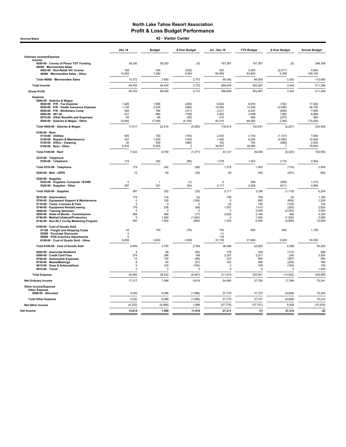Accrual Basis 42 - Visitor Center

|                                                                                                                                                                                                                                                                                                               | <b>Dec 19</b>                                                            | <b>Budget</b>                                                      | \$ Over Budget                                                             | Jul - Dec 19                                                                | <b>YTD Budget</b>                                              | \$ Over Budget                                                         | <b>Annual Budget</b>                                                |
|---------------------------------------------------------------------------------------------------------------------------------------------------------------------------------------------------------------------------------------------------------------------------------------------------------------|--------------------------------------------------------------------------|--------------------------------------------------------------------|----------------------------------------------------------------------------|-----------------------------------------------------------------------------|----------------------------------------------------------------|------------------------------------------------------------------------|---------------------------------------------------------------------|
| <b>Ordinary Income/Expense</b>                                                                                                                                                                                                                                                                                |                                                                          |                                                                    |                                                                            |                                                                             |                                                                |                                                                        |                                                                     |
| Income<br>4050-00 · County of Placer TOT Funding<br>46000 · Merchandise Sales                                                                                                                                                                                                                                 | 39,330                                                                   | 39,330                                                             | (0)                                                                        | 197,267                                                                     | 197,267                                                        | (0)                                                                    | 398,306                                                             |
| 4502-00 · Non-Retail VIC income<br>46000 · Merchandise Sales - Other                                                                                                                                                                                                                                          | 168<br>10,204                                                            | 400<br>7,200                                                       | (232)<br>3,004                                                             | 383<br>68,959                                                               | 2,400<br>63,600                                                | (2,017)<br>5,359                                                       | 4,800<br>108,100                                                    |
| Total 46000 · Merchandise Sales                                                                                                                                                                                                                                                                               | 10,372                                                                   | 7,600                                                              | 2,772                                                                      | 69,342                                                                      | 66,000                                                         | 3,342                                                                  | 112,900                                                             |
| <b>Total Income</b>                                                                                                                                                                                                                                                                                           | 49,702                                                                   | 46,930                                                             | 2,772                                                                      | 266,609                                                                     | 263,267                                                        | 3,342                                                                  | 511,206                                                             |
| <b>Gross Profit</b>                                                                                                                                                                                                                                                                                           | 49,702                                                                   | 46,930                                                             | 2,772                                                                      | 266,609                                                                     | 263,267                                                        | 3,342                                                                  | 511,206                                                             |
| <b>Expense</b><br>5000-00 · Salaries & Wages<br>5020-00 · P/R - Tax Expense<br>5030-00 · P/R - Health Insurance Expense<br>5040-00 · P/R - Workmans Comp<br>5060-00 $\cdot$ 401 (k)<br>5070-00 Other Benefits and Expenses<br>5000-00 · Salaries & Wages - Other                                              | 1,426<br>1,730<br>394<br>521<br>45<br>12,900                             | 1,666<br>2,225<br>765<br>680<br>80<br>17,000                       | (240)<br>(495)<br>(371)<br>(159)<br>(35)<br>(4, 100)                       | 8,624<br>10,252<br>3,211<br>3.402<br>210<br>92,314                          | 8,816<br>13,350<br>4,047<br>3.598<br>480<br>89,950             | (192)<br>(3,098)<br>(836)<br>(196)<br>(270)<br>2,364                   | 17,362<br>26,700<br>7,856<br>6,984<br>960<br>174,600                |
| Total 5000-00 · Salaries & Wages                                                                                                                                                                                                                                                                              | 17,017                                                                   | 22,416                                                             | (5, 399)                                                                   | 118,014                                                                     | 120,241                                                        | (2, 227)                                                               | 234,462                                                             |
| 5100-00 · Rent<br>5110-00 · Utilities<br>5140-00 · Repairs & Maintenance<br>5150-00 · Office - Cleaning<br>5100-00 · Rent - Other                                                                                                                                                                             | 545<br>257<br>20<br>6,502                                                | 700<br>1,000<br>500<br>6,500                                       | (155)<br>(744)<br>(480)<br>$\mathcal{P}$                                   | 2.553<br>1,405<br>162<br>39,007                                             | 3.700<br>6,000<br>750<br>39,000                                | (1, 147)<br>(4,595)<br>(588)<br>-7                                     | 7.600<br>12,000<br>2,500<br>78,800                                  |
| Total 5100-00 · Rent                                                                                                                                                                                                                                                                                          | 7,323                                                                    | 8,700                                                              | (1, 377)                                                                   | 43,127                                                                      | 49,450                                                         | (6, 323)                                                               | 100,900                                                             |
| 5310-00 · Telephone<br>5320-00 · Telephone                                                                                                                                                                                                                                                                    | 174                                                                      | 242                                                                | (68)                                                                       | 1,278                                                                       | 1,452                                                          | (174)                                                                  | 2,904                                                               |
| Total 5310-00 · Telephone                                                                                                                                                                                                                                                                                     | 174                                                                      | 242                                                                | (68)                                                                       | 1,278                                                                       | 1,452                                                          | (174)                                                                  | 2,904                                                               |
| 5420-00 · Mail - USPS                                                                                                                                                                                                                                                                                         | 12                                                                       | 50                                                                 | (38)                                                                       | 59                                                                          | 300                                                            | (241)                                                                  | 600                                                                 |
| 5520-00 · Supplies<br>5525-00 · Supplies- Computer <\$1000<br>5520-00 · Supplies - Other                                                                                                                                                                                                                      | $\Omega$<br>297                                                          | 1<br>321                                                           | (1)<br>(24)                                                                | $\Omega$<br>2,117                                                           | 308<br>2,928                                                   | (308)<br>(811)                                                         | 1,310<br>4,894                                                      |
| Total 5520-00 · Supplies                                                                                                                                                                                                                                                                                      | 297                                                                      | 322                                                                | (25)                                                                       | 2,117                                                                       | 3,236                                                          | (1, 119)                                                               | 6,204                                                               |
| 5610-00 · Depreciation<br>5700-00 · Equipment Support & Maintenance<br>5710-00 · Taxes. Licenses & Fees<br>5740-00 · Equipment Rental/Leasing<br>5800-00 · Training Seminars<br>5850-00 · Artist of Month - Commissions<br>6740-00 · Media/Collateral/Production<br>6742-00 · Non-NLT Co-Op Marketing Program | 118<br>$\Omega$<br>$\Omega$<br>176<br>$\Omega$<br>284<br>$\Omega$<br>200 | 118<br>100<br>$\Omega$<br>235<br>$\Omega$<br>360<br>1,500<br>1,000 | (0)<br>(100)<br>$^{\circ}$<br>(59)<br>$\Omega$<br>(77)<br>(1,500)<br>(800) | 708<br>$\mathbf 0$<br>20<br>1,057<br>$\Omega$<br>2,622<br>$\Omega$<br>1,200 | 708<br>600<br>155<br>1,410<br>2,000<br>2,160<br>1,500<br>6,000 | (0)<br>(600)<br>(135)<br>(353)<br>(2,000)<br>462<br>(1,500)<br>(4,800) | 1,180<br>1,200<br>155<br>2,820<br>3,000<br>4,320<br>3,000<br>12,000 |
| 8100-00 · Cost of Goods Sold<br>51100 · Freight and Shipping Costs<br>52500 · Purchase Discounts<br>59900 · POS Inventory Adjustments                                                                                                                                                                         | 24<br>$\mathbf 0$<br>$\Omega$                                            | 100                                                                | (76)                                                                       | 754<br>(1)<br>116                                                           | 800                                                            | (46)                                                                   | 1,190                                                               |
| 8100-00 Cost of Goods Sold - Other                                                                                                                                                                                                                                                                            | 6,459                                                                    | 3,600                                                              | 2,859                                                                      | 37,729                                                                      | 31,800                                                         | 5,929                                                                  | 54,050                                                              |
| Total 8100-00 · Cost of Goods Sold<br>8200-00 · Associate Relations<br>8500-00 Credit Card Fees<br>8700-00 · Automobile Expenses<br>8750-00 · Meals/Meetings<br>8810-00 · Dues & Subscriptions<br>8910-00 · Travel                                                                                            | 6,484<br>8<br>374<br>12<br>8<br>0<br>0                                   | 3,700<br>58<br>266<br>100<br>65<br>100<br>0                        | 2,784<br>(50)<br>108<br>(88)<br>(57)<br>(100)<br>0                         | 38,599<br>176<br>2,257<br>233<br>152<br>$\Omega$<br>0                       | 32,600<br>348<br>2,311<br>600<br>390<br>100<br>0               | 5,999<br>(172)<br>(54)<br>(367)<br>(238)<br>(100)<br>$\Omega$          | 55,240<br>696<br>3,954<br>950<br>780<br>100<br>1,500                |
| <b>Total Expense</b>                                                                                                                                                                                                                                                                                          | 32,485                                                                   | 39,332                                                             | (6, 847)                                                                   | 211,619                                                                     | 225,561                                                        | (13, 942)                                                              | 435,965                                                             |
| <b>Net Ordinary Income</b>                                                                                                                                                                                                                                                                                    | 17,217                                                                   | 7,598                                                              | 9,619                                                                      | 54,990                                                                      | 37,706                                                         | 17,284                                                                 | 75,241                                                              |
| <b>Other Income/Expense</b><br><b>Other Expense</b><br>8990-00 · Allocated                                                                                                                                                                                                                                    | 4,202                                                                    | 6,098                                                              | (1,896)                                                                    | 27,779                                                                      | 37,707                                                         | (9,928)                                                                | 75,243                                                              |
| <b>Total Other Expense</b>                                                                                                                                                                                                                                                                                    | 4,202                                                                    | 6,098                                                              | (1,896)                                                                    | 27,779                                                                      | 37,707                                                         | (9,928)                                                                | 75,243                                                              |
| <b>Net Other Income</b>                                                                                                                                                                                                                                                                                       | (4, 202)                                                                 | (6,098)                                                            | 1,896                                                                      | (27, 779)                                                                   | (37, 707)                                                      | 9.928                                                                  | (75, 243)                                                           |
| Net Income                                                                                                                                                                                                                                                                                                    | 13,014                                                                   | 1,500                                                              | 11,514                                                                     | 27,211                                                                      | (1)                                                            | 27,212                                                                 | (2)                                                                 |
|                                                                                                                                                                                                                                                                                                               |                                                                          |                                                                    |                                                                            |                                                                             |                                                                |                                                                        |                                                                     |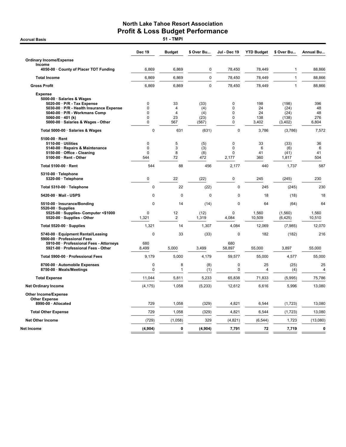**Accrual Basis** 

|                                                                                                                                                                                     | <b>Dec 19</b>             | <b>Budget</b>      | \$ Over Bu                 | <b>Jul - Dec 19</b>                   | <b>YTD Budget</b>      | \$ Over Bu                     | Annual Bu              |
|-------------------------------------------------------------------------------------------------------------------------------------------------------------------------------------|---------------------------|--------------------|----------------------------|---------------------------------------|------------------------|--------------------------------|------------------------|
| <b>Ordinary Income/Expense</b>                                                                                                                                                      |                           |                    |                            |                                       |                        |                                |                        |
| Income<br>4050-00 · County of Placer TOT Funding                                                                                                                                    | 6,869                     | 6,869              | 0                          | 78,450                                | 78,449                 | $\mathbf{1}$                   | 88,866                 |
| <b>Total Income</b>                                                                                                                                                                 | 6,869                     | 6,869              | $\pmb{0}$                  | 78,450                                | 78,449                 | $\mathbf{1}$                   | 88,866                 |
| <b>Gross Profit</b>                                                                                                                                                                 | 6,869                     | 6,869              | $\Omega$                   | 78,450                                | 78,449                 | $\mathbf{1}$                   | 88,866                 |
| <b>Expense</b><br>5000-00 · Salaries & Wages<br>5020-00 · P/R - Tax Expense<br>5030-00 · P/R - Health Insurance Expense<br>5040-00 · P/R - Workmans Comp<br>$5060-00 \cdot 401$ (k) | 0<br>0<br>0<br>0          | 33<br>4<br>4<br>23 | (33)<br>(4)<br>(4)<br>(23) | $\mathbf 0$<br>0<br>0<br>0            | 198<br>24<br>24<br>138 | (198)<br>(24)<br>(24)<br>(138) | 396<br>48<br>48<br>276 |
| 5000-00 · Salaries & Wages - Other                                                                                                                                                  | 0                         | 567                | (567)                      | $\mathbf 0$                           | 3,402                  | (3,402)                        | 6,804                  |
| Total 5000-00 · Salaries & Wages                                                                                                                                                    | $\pmb{0}$                 | 631                | (631)                      | 0                                     | 3,786                  | (3,786)                        | 7,572                  |
| 5100-00 · Rent<br>5110-00 · Utilities<br>5140-00 · Repairs & Maintenance<br>5150-00 · Office - Cleaning<br>5100-00 · Rent - Other                                                   | 0<br>0<br>$\Omega$<br>544 | 5<br>3<br>8<br>72  | (5)<br>(3)<br>(8)<br>472   | $\mathbf 0$<br>0<br>$\Omega$<br>2,177 | 33<br>6<br>41<br>360   | (33)<br>(6)<br>(41)<br>1,817   | 36<br>6<br>41<br>504   |
| Total 5100-00 · Rent                                                                                                                                                                | 544                       | 88                 | 456                        | 2,177                                 | 440                    | 1,737                          | 587                    |
| 5310-00 · Telephone<br>5320-00 · Telephone                                                                                                                                          | 0                         | 22                 | (22)                       | $\mathbf 0$                           | 245                    | (245)                          | 230                    |
| Total 5310-00 · Telephone                                                                                                                                                           | 0                         | 22                 | (22)                       | $\mathbf 0$                           | 245                    | (245)                          | 230                    |
| 5420-00 · Mail - USPS                                                                                                                                                               | $\mathbf 0$               | $\mathbf 0$        | $\Omega$                   | $\mathbf 0$                           | 18                     | (18)                           | 18                     |
| 5510-00 · Insurance/Bonding                                                                                                                                                         | 0                         | 14                 | (14)                       | $\mathbf 0$                           | 64                     | (64)                           | 64                     |
| 5520-00 · Supplies<br>5525-00 · Supplies- Computer <\$1000<br>5520-00 · Supplies - Other                                                                                            | 0<br>1,321                | 12<br>2            | (12)<br>1,319              | $\mathbf 0$<br>4,084                  | 1,560<br>10,509        | (1,560)<br>(6, 425)            | 1,560<br>10,510        |
| Total 5520-00 · Supplies                                                                                                                                                            | 1,321                     | 14                 | 1,307                      | 4,084                                 | 12,069                 | (7,985)                        | 12,070                 |
| 5740-00 · Equipment Rental/Leasing                                                                                                                                                  | $\mathbf 0$               | 33                 | (33)                       | $\mathbf 0$                           | 182                    | (182)                          | 216                    |
| 5900-00 · Professional Fees<br>5910-00 · Professional Fees - Attorneys<br>5921-00 · Professional Fees - Other                                                                       | 680<br>8,499              | 5,000              | 3,499                      | 680<br>58,897                         | 55,000                 | 3,897                          | 55,000                 |
| Total 5900-00 · Professional Fees                                                                                                                                                   | 9,179                     | 5,000              | 4,179                      | 59,577                                | 55,000                 | 4,577                          | 55,000                 |
| 8700-00 · Automobile Expenses<br>8750-00 · Meals/Meetings                                                                                                                           | 0<br>0                    | 8<br>1             | (8)<br>(1)                 | 0<br>0                                | 25<br>4                | (25)<br>(4)                    | 25<br>$\overline{4}$   |
| <b>Total Expense</b>                                                                                                                                                                | 11,044                    | 5,811              | 5,233                      | 65,838                                | 71,833                 | (5,995)                        | 75,786                 |
| <b>Net Ordinary Income</b>                                                                                                                                                          | (4, 175)                  | 1,058              | (5,233)                    | 12,612                                | 6,616                  | 5,996                          | 13,080                 |
| <b>Other Income/Expense</b><br><b>Other Expense</b>                                                                                                                                 |                           |                    |                            |                                       |                        |                                |                        |
| 8990-00 · Allocated                                                                                                                                                                 | 729                       | 1.058              | (329)                      | 4.821                                 | 6,544                  | (1, 723)                       | 13,080                 |
| <b>Total Other Expense</b>                                                                                                                                                          | 729                       | 1,058              | (329)                      | 4,821                                 | 6,544                  | (1, 723)                       | 13,080                 |
| <b>Net Other Income</b>                                                                                                                                                             | (729)                     | (1,058)            | 329                        | (4,821)                               | (6, 544)               | 1,723                          | (13,080)               |
| Net Income                                                                                                                                                                          | (4, 904)                  | 0                  | (4, 904)                   | 7,791                                 | 72                     | 7,719                          | 0                      |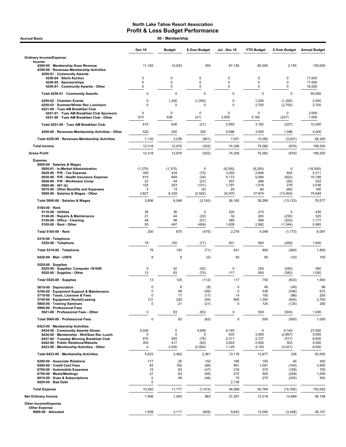| <b>Accrual Basis</b>                                                                                                                                                                                                                                                                         | 60 - Membership                                                |                                                    |                                                       |                                                           |                                                            |                                                                |                                                               |  |
|----------------------------------------------------------------------------------------------------------------------------------------------------------------------------------------------------------------------------------------------------------------------------------------------|----------------------------------------------------------------|----------------------------------------------------|-------------------------------------------------------|-----------------------------------------------------------|------------------------------------------------------------|----------------------------------------------------------------|---------------------------------------------------------------|--|
|                                                                                                                                                                                                                                                                                              | <b>Dec 19</b>                                                  | <b>Budget</b>                                      | \$ Over Budget                                        | Jul - Dec 19                                              | <b>YTD Budget</b>                                          | \$ Over Budget                                                 | <b>Annual Budget</b>                                          |  |
| <b>Ordinary Income/Expense</b>                                                                                                                                                                                                                                                               |                                                                |                                                    |                                                       |                                                           |                                                            |                                                                |                                                               |  |
| Income<br>4200-00 · Membership Dues Revenue<br>4250-00 · Revenues-Membership Activities<br>4250-01 · Community Awards                                                                                                                                                                        | 11,183                                                         | 10,833                                             | 350                                                   | 67,155                                                    | 65,000                                                     | 2,155                                                          | 130,000                                                       |  |
| 4250-04 · Silent Auction<br>4250-05 · Sponsorships                                                                                                                                                                                                                                           | 0<br>$\mathbf 0$                                               | 0<br>$\mathbf 0$                                   | 0<br>$\mathbf 0$                                      | 0<br>$\mathbf 0$                                          | 0<br>0                                                     | 0<br>0                                                         | 17,000<br>17,000                                              |  |
| 4250-01 Community Awards - Other                                                                                                                                                                                                                                                             | 0                                                              | 0                                                  | 0                                                     | 0                                                         | 0                                                          | 0                                                              | 16,000                                                        |  |
| Total 4250-01 · Community Awards                                                                                                                                                                                                                                                             | 0                                                              | 0                                                  | $\mathbf 0$                                           | 0                                                         | $\pmb{0}$                                                  | $\pmb{0}$                                                      | 50,000                                                        |  |
| 4250-02 · Chamber Events<br>4250-03 · Summer/Winter Rec Luncheon                                                                                                                                                                                                                             | $\Omega$<br>$\Omega$                                           | 1,200<br>$\Omega$                                  | (1,200)<br>$\Omega$                                   | 0<br>0                                                    | 1,200<br>2,700                                             | (1,200)<br>(2,700)                                             | 2,500<br>2,700                                                |  |
| 4251-00 · Tues AM Breakfast Club<br>4251-01 · Tues AM Breakfast Club Sponsors<br>4251-00 · Tues AM Breakfast Club - Other                                                                                                                                                                    | $\mathbf 0$<br>615                                             | 0<br>636                                           | $\Omega$<br>(21)                                      | 0<br>2,955                                                | 0<br>3,182                                                 | 0<br>(227)                                                     | 3,000<br>7,000                                                |  |
| Total 4251-00 · Tues AM Breakfast Club                                                                                                                                                                                                                                                       | 615                                                            | 636                                                | (21)                                                  | 2,955                                                     | 3,182                                                      | (227)                                                          | 10,000                                                        |  |
| 4250-00 · Revenues-Membership Activities - Other                                                                                                                                                                                                                                             | 520                                                            | 200                                                | 320                                                   | 4,096                                                     | 3,000                                                      | 1,096                                                          | 4,000                                                         |  |
| Total 4250-00 · Revenues-Membership Activities                                                                                                                                                                                                                                               | 1,135                                                          | 2,036                                              | (901)                                                 | 7,051                                                     | 10,082                                                     | (3,031)                                                        | 69,200                                                        |  |
| <b>Total Income</b>                                                                                                                                                                                                                                                                          | 12,318                                                         | 12,870                                             | (552)                                                 | 74,206                                                    | 75,082                                                     | (876)                                                          | 199,200                                                       |  |
| <b>Gross Profit</b>                                                                                                                                                                                                                                                                          | 12,318                                                         | 12,870                                             | (552)                                                 | 74,206                                                    | 75,082                                                     | (876)                                                          | 199,200                                                       |  |
| <b>Expense</b>                                                                                                                                                                                                                                                                               |                                                                |                                                    |                                                       |                                                           |                                                            |                                                                |                                                               |  |
| 5000-00 · Salaries & Wages<br>5000-01 · In-Market Administration<br>$5020-00 \cdot P/R$ - Tax Expense<br>5030-00 · P/R - Health Insurance Expense<br>5040-00 · P/R - Workmans Comp<br>5060-00 $\cdot$ 401 (k)<br>5070-00 · Other Benefits and Expenses<br>5000-00 · Salaries & Wages - Other | (1, 375)<br>359<br>815<br>23<br>153<br>$\overline{4}$<br>3,827 | (1, 375)<br>434<br>849<br>44<br>253<br>13<br>6,329 | 0<br>(75)<br>(34)<br>(21)<br>(101)<br>(9)<br>(2, 502) | (8,250)<br>3,250<br>4,172<br>207<br>1,797<br>20<br>24,970 | (8, 250)<br>2,606<br>5,094<br>266<br>1,519<br>80<br>37,974 | $\mathsf 0$<br>645<br>(922)<br>(59)<br>278<br>(60)<br>(13,004) | (16, 500)<br>5,211<br>10,188<br>532<br>3,038<br>160<br>75,948 |  |
| Total 5000-00 · Salaries & Wages                                                                                                                                                                                                                                                             | 3,806                                                          | 6,548                                              | (2,742)                                               | 26,165                                                    | 39,289                                                     | (13, 123)                                                      | 78,577                                                        |  |
| $5100-00 \cdot$ Rent                                                                                                                                                                                                                                                                         |                                                                |                                                    |                                                       |                                                           |                                                            |                                                                |                                                               |  |
| 5110-00 · Utilities<br>5140-00 · Repairs & Maintenance<br>5150-00 · Office - Cleaning<br>5100-00 · Rent - Other                                                                                                                                                                              | 38<br>21<br>48<br>93                                           | 36<br>44<br>98<br>497                              | $\overline{2}$<br>(22)<br>(51)<br>(404)               | 220<br>32<br>385<br>1,639                                 | 215<br>263<br>588<br>2,982                                 | 5<br>(230)<br>(203)<br>(1, 344)                                | 430<br>525<br>1,177<br>5,965                                  |  |
| Total 5100-00 · Rent                                                                                                                                                                                                                                                                         | 200                                                            | 675                                                | (475)                                                 | 2,276                                                     | 4,048                                                      | (1, 773)                                                       | 8,097                                                         |  |
| 5310-00 · Telephone<br>5320-00 · Telephone                                                                                                                                                                                                                                                   | 79                                                             | 150                                                | (71)                                                  | 631                                                       | 900                                                        | (269)                                                          | 1,800                                                         |  |
| Total 5310-00 · Telephone                                                                                                                                                                                                                                                                    | 79                                                             | 150                                                | (71)                                                  | 631                                                       | 900                                                        | (269)                                                          | 1,800                                                         |  |
| 5420-00 · Mail - USPS                                                                                                                                                                                                                                                                        | 8                                                              | 8                                                  | (0)                                                   | 40                                                        | 50                                                         | (10)                                                           | 100                                                           |  |
| $5520-00 \cdot$ Supplies<br>5525-00 · Supplies- Computer <\$1000<br>5520-00 · Supplies - Other                                                                                                                                                                                               | $\mathbf 0$<br>13                                              | 42<br>83                                           | (42)<br>(70)                                          | 0<br>117                                                  | 250<br>500                                                 | (250)<br>(383)                                                 | 500<br>1,000                                                  |  |
| Total 5520-00 · Supplies                                                                                                                                                                                                                                                                     | 13                                                             | 125                                                | (112)                                                 | 117                                                       | 750                                                        | (633)                                                          | 1,500                                                         |  |
| 5610-00 · Depreciation<br>5700-00 · Equipment Support & Maintenance<br>5710-00 · Taxes, Licenses & Fees<br>5740-00 · Equipment Rental/Leasing<br>5800-00 · Training Seminars                                                                                                                 | U<br>0<br>$\mathbf 0$<br>131<br>0                              | ୪<br>56<br>17<br>225<br>21                         | (8)<br>(56)<br>(17)<br>(94)<br>(21)                   | U<br>0<br>14<br>805<br>0                                  | 48<br>336<br>100<br>1,350<br>125                           | (48)<br>(336)<br>(86)<br>(545)<br>(125)                        | 96<br>672<br>200<br>2,700<br>250                              |  |
| 5900-00 · Professional Fees<br>5921-00 · Professional Fees - Other                                                                                                                                                                                                                           | 0                                                              | 83                                                 | (83)                                                  | 0                                                         | 500                                                        | (500)                                                          | 1,000                                                         |  |
| Total 5900-00 · Professional Fees                                                                                                                                                                                                                                                            | 0                                                              | 83                                                 | (83)                                                  | 0                                                         | 500                                                        | (500)                                                          | 1,000                                                         |  |
| 6423-00 · Membership Activities<br>6434-00 · Community Awards Dinner<br>6436-00 · Membership - Wnt/Sum Rec Lunch<br>6437-00 · Tuesday Morning Breakfast Club<br>6442-00 · Public Relations/Website<br>6423-00 · Membership Activities - Other                                                | 5,000<br>0<br>470<br>353<br>0                                  | 0<br>0<br>545<br>417<br>2,500                      | 5,000<br>0<br>(76)<br>(63)<br>(2,500)                 | 6,140<br>633<br>2,211<br>3,003<br>1,129                   | 0<br>3,500<br>2,727<br>2,500<br>4,150                      | 6,140<br>(2,867)<br>(517)<br>503<br>(3,021)                    | 27,500<br>5,000<br>6,000<br>5,000<br>8,500                    |  |
| Total 6423-00 · Membership Activities                                                                                                                                                                                                                                                        | 5,823                                                          | 3,462                                              | 2,361                                                 | 13,116                                                    | 12,877                                                     | 238                                                            | 52,000                                                        |  |
| 8200-00 · Associate Relations<br>8500-00 · Credit Card Fees<br>8700-00 · Automobile Expenses<br>8750-00 · Meals/Meetings<br>8810-00 · Dues & Subscriptions<br>8920-00 · Bad Debt                                                                                                             | 177<br>83<br>15<br>27<br>0<br>0                                | 25<br>182<br>63<br>83<br>46                        | 152<br>(98)<br>(47)<br>(56)<br>(46)                   | 190<br>951<br>216<br>272<br>70<br>2,138                   | 150<br>1,091<br>375<br>500<br>275                          | 40<br>(140)<br>(159)<br>(228)<br>(205)                         | 300<br>3,500<br>750<br>1,000<br>550                           |  |
| <b>Total Expense</b>                                                                                                                                                                                                                                                                         | 10,362                                                         | 11,777                                             | (1, 415)                                              | 46,999                                                    | 62,764                                                     | (15, 765)                                                      | 153,092                                                       |  |
| <b>Net Ordinary Income</b>                                                                                                                                                                                                                                                                   | 1,956                                                          | 1,093                                              | 863                                                   | 27,207                                                    | 12,318                                                     | 14,889                                                         | 46,108                                                        |  |
| Other Income/Expense<br><b>Other Expense</b><br>8990-00 · Allocated                                                                                                                                                                                                                          | 1,459                                                          | 2,117                                              | (658)                                                 | 9,642                                                     | 13,090                                                     | (3, 448)                                                       | 26,107                                                        |  |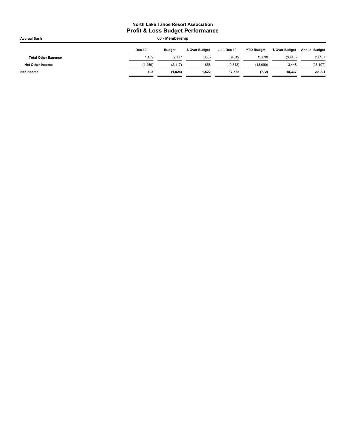| <b>Accrual Basis</b>       |               | 60 - Membership |                |              |                   |                |                      |
|----------------------------|---------------|-----------------|----------------|--------------|-------------------|----------------|----------------------|
|                            | <b>Dec 19</b> | <b>Budget</b>   | \$ Over Budget | Jul - Dec 19 | <b>YTD Budget</b> | \$ Over Budget | <b>Annual Budget</b> |
| <b>Total Other Expense</b> | 1.459         | 2.117           | (658)          | 9.642        | 13,090            | (3, 448)       | 26,107               |
| <b>Net Other Income</b>    | (1, 459)      | (2, 117)        | 658            | (9.642)      | (13,090)          | 3,448          | (26, 107)            |
| <b>Net Income</b>          | 498           | (1.024)         | 1.522          | 17.565       | (772)             | 18.337         | 20,001               |